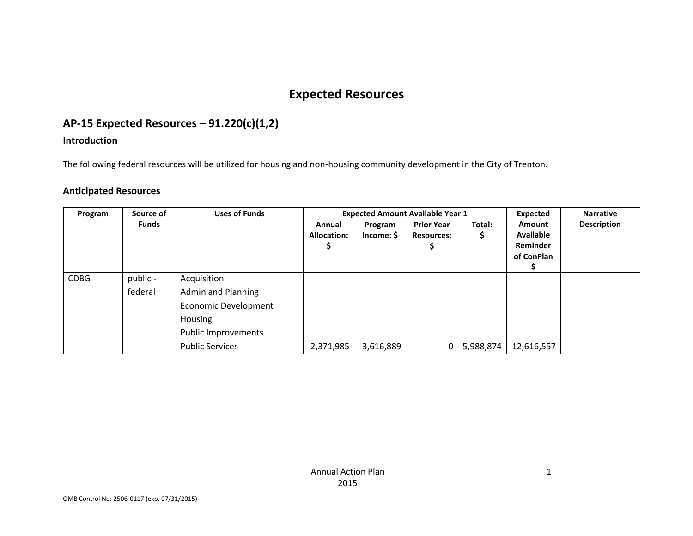# **Expected Resources**

# **AP-15 Expected Resources – 91.220(c)(1,2)**

### **Introduction**

The following federal resources will be utilized for housing and non-housing community development in the City of Trenton.

### **Anticipated Resources**

| Source of<br>Program |              | <b>Uses of Funds</b>   |                    | <b>Expected Amount Available Year 1</b> | <b>Expected</b>   | <b>Narrative</b> |                  |                    |
|----------------------|--------------|------------------------|--------------------|-----------------------------------------|-------------------|------------------|------------------|--------------------|
|                      | <b>Funds</b> |                        | Annual             | Program                                 | <b>Prior Year</b> | Total:           | Amount           | <b>Description</b> |
|                      |              |                        | <b>Allocation:</b> | Income: \$                              | <b>Resources:</b> | S                | <b>Available</b> |                    |
|                      |              |                        |                    |                                         |                   |                  | Reminder         |                    |
|                      |              |                        |                    |                                         |                   |                  | of ConPlan       |                    |
|                      |              |                        |                    |                                         |                   |                  |                  |                    |
| <b>CDBG</b>          | public -     | Acquisition            |                    |                                         |                   |                  |                  |                    |
|                      | federal      | Admin and Planning     |                    |                                         |                   |                  |                  |                    |
|                      |              | Economic Development   |                    |                                         |                   |                  |                  |                    |
|                      |              | Housing                |                    |                                         |                   |                  |                  |                    |
|                      |              | Public Improvements    |                    |                                         |                   |                  |                  |                    |
|                      |              | <b>Public Services</b> | 2,371,985          | 3,616,889                               | 0                 | 5,988,874        | 12,616,557       |                    |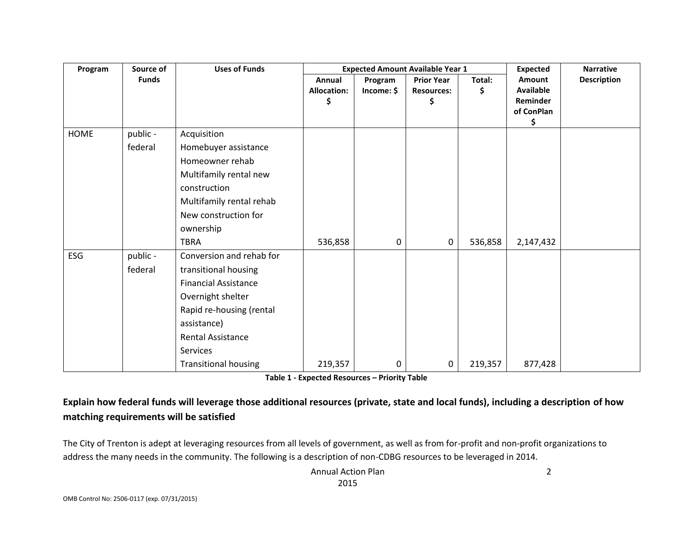| Program | Source of    | <b>Uses of Funds</b>        |                                    | <b>Expected Amount Available Year 1</b> | <b>Expected</b><br><b>Narrative</b>          |              |                                                            |                    |
|---------|--------------|-----------------------------|------------------------------------|-----------------------------------------|----------------------------------------------|--------------|------------------------------------------------------------|--------------------|
|         | <b>Funds</b> |                             | Annual<br><b>Allocation:</b><br>\$ | Program<br>Income: \$                   | <b>Prior Year</b><br><b>Resources:</b><br>\$ | Total:<br>\$ | Amount<br><b>Available</b><br>Reminder<br>of ConPlan<br>\$ | <b>Description</b> |
| HOME    | public -     | Acquisition                 |                                    |                                         |                                              |              |                                                            |                    |
|         | federal      | Homebuyer assistance        |                                    |                                         |                                              |              |                                                            |                    |
|         |              | Homeowner rehab             |                                    |                                         |                                              |              |                                                            |                    |
|         |              | Multifamily rental new      |                                    |                                         |                                              |              |                                                            |                    |
|         |              | construction                |                                    |                                         |                                              |              |                                                            |                    |
|         |              | Multifamily rental rehab    |                                    |                                         |                                              |              |                                                            |                    |
|         |              | New construction for        |                                    |                                         |                                              |              |                                                            |                    |
|         |              | ownership                   |                                    |                                         |                                              |              |                                                            |                    |
|         |              | <b>TBRA</b>                 | 536,858                            | 0                                       | 0                                            | 536,858      | 2,147,432                                                  |                    |
| ESG     | public -     | Conversion and rehab for    |                                    |                                         |                                              |              |                                                            |                    |
|         | federal      | transitional housing        |                                    |                                         |                                              |              |                                                            |                    |
|         |              | <b>Financial Assistance</b> |                                    |                                         |                                              |              |                                                            |                    |
|         |              | Overnight shelter           |                                    |                                         |                                              |              |                                                            |                    |
|         |              | Rapid re-housing (rental    |                                    |                                         |                                              |              |                                                            |                    |
|         |              | assistance)                 |                                    |                                         |                                              |              |                                                            |                    |
|         |              | Rental Assistance           |                                    |                                         |                                              |              |                                                            |                    |
|         |              | <b>Services</b>             |                                    |                                         |                                              |              |                                                            |                    |
|         |              | <b>Transitional housing</b> | 219,357                            | 0                                       | 0                                            | 219,357      | 877,428                                                    |                    |

**Table 1 - Expected Resources – Priority Table**

### **Explain how federal funds will leverage those additional resources (private, state and local funds), including a description of how matching requirements will be satisfied**

The City of Trenton is adept at leveraging resources from all levels of government, as well as from for-profit and non-profit organizations to address the many needs in the community. The following is a description of non-CDBG resources to be leveraged in 2014.

> Annual Action Plan 2015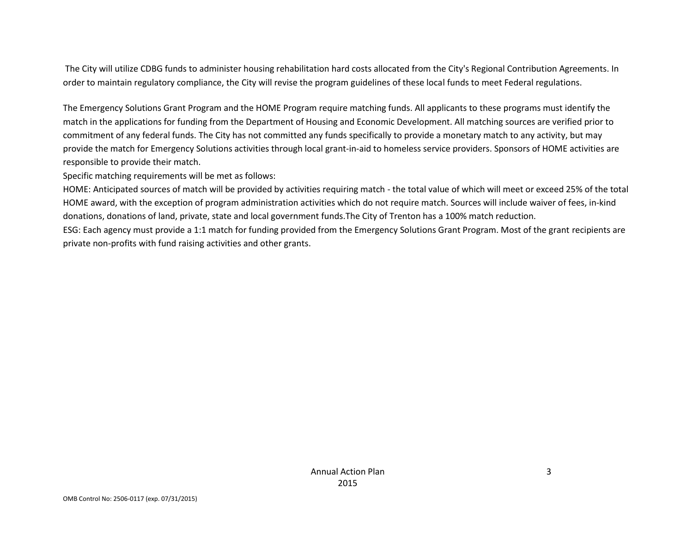The City will utilize CDBG funds to administer housing rehabilitation hard costs allocated from the City's Regional Contribution Agreements. In order to maintain regulatory compliance, the City will revise the program guidelines of these local funds to meet Federal regulations.

The Emergency Solutions Grant Program and the HOME Program require matching funds. All applicants to these programs must identify the match in the applications for funding from the Department of Housing and Economic Development. All matching sources are verified prior to commitment of any federal funds. The City has not committed any funds specifically to provide a monetary match to any activity, but may provide the match for Emergency Solutions activities through local grant-in-aid to homeless service providers. Sponsors of HOME activities are responsible to provide their match.

Specific matching requirements will be met as follows:

HOME: Anticipated sources of match will be provided by activities requiring match - the total value of which will meet or exceed 25% of the total HOME award, with the exception of program administration activities which do not require match. Sources will include waiver of fees, in-kind donations, donations of land, private, state and local government funds.The City of Trenton has a 100% match reduction.

ESG: Each agency must provide a 1:1 match for funding provided from the Emergency Solutions Grant Program. Most of the grant recipients are private non-profits with fund raising activities and other grants.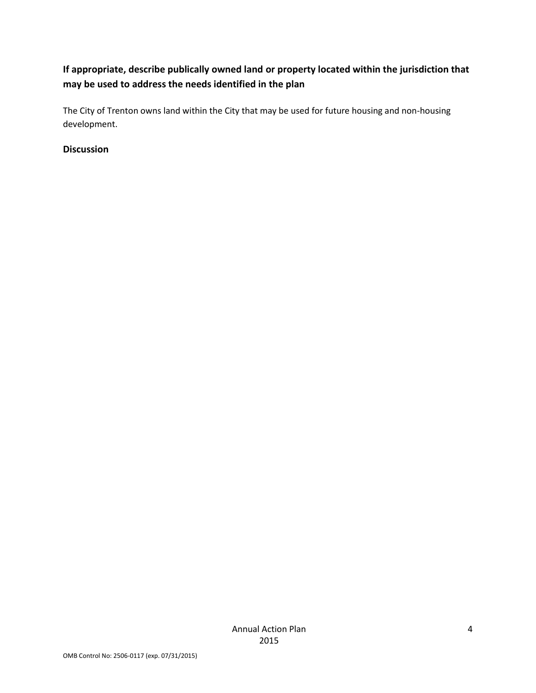## **If appropriate, describe publically owned land or property located within the jurisdiction that may be used to address the needs identified in the plan**

The City of Trenton owns land within the City that may be used for future housing and non-housing development.

### **Discussion**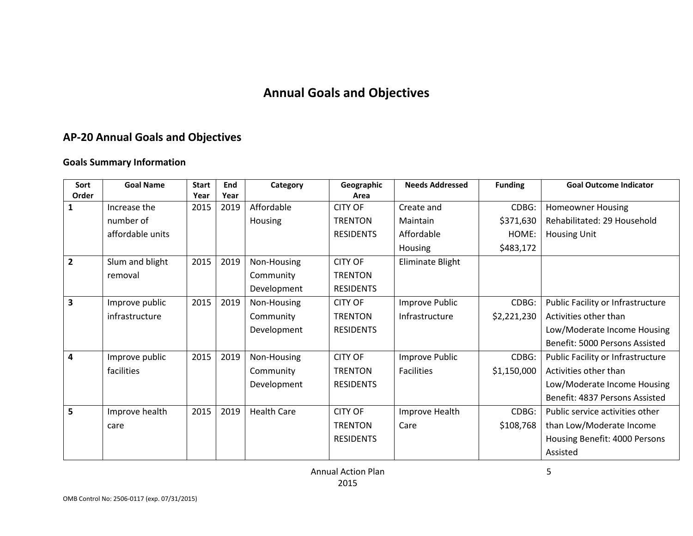# **Annual Goals and Objectives**

# **AP-20 Annual Goals and Objectives**

### **Goals Summary Information**

| Sort           | <b>Goal Name</b> | <b>Start</b> | End  | Category           | Geographic       | <b>Needs Addressed</b> | <b>Funding</b> | <b>Goal Outcome Indicator</b>     |
|----------------|------------------|--------------|------|--------------------|------------------|------------------------|----------------|-----------------------------------|
| Order          |                  | Year         | Year |                    | Area             |                        |                |                                   |
| 1              | Increase the     | 2015         | 2019 | Affordable         | <b>CITY OF</b>   | Create and             | CDBG:          | <b>Homeowner Housing</b>          |
|                | number of        |              |      | Housing            | <b>TRENTON</b>   | Maintain               | \$371,630      | Rehabilitated: 29 Household       |
|                | affordable units |              |      |                    | <b>RESIDENTS</b> | Affordable             | HOME:          | <b>Housing Unit</b>               |
|                |                  |              |      |                    |                  | Housing                | \$483,172      |                                   |
| $\overline{2}$ | Slum and blight  | 2015         | 2019 | Non-Housing        | <b>CITY OF</b>   | Eliminate Blight       |                |                                   |
|                | removal          |              |      | Community          | <b>TRENTON</b>   |                        |                |                                   |
|                |                  |              |      | Development        | <b>RESIDENTS</b> |                        |                |                                   |
| 3              | Improve public   | 2015         | 2019 | Non-Housing        | <b>CITY OF</b>   | Improve Public         | CDBG:          | Public Facility or Infrastructure |
|                | infrastructure   |              |      | Community          | <b>TRENTON</b>   | Infrastructure         | \$2,221,230    | Activities other than             |
|                |                  |              |      | Development        | <b>RESIDENTS</b> |                        |                | Low/Moderate Income Housing       |
|                |                  |              |      |                    |                  |                        |                | Benefit: 5000 Persons Assisted    |
| 4              | Improve public   | 2015         | 2019 | Non-Housing        | <b>CITY OF</b>   | Improve Public         | CDBG:          | Public Facility or Infrastructure |
|                | facilities       |              |      | Community          | <b>TRENTON</b>   | <b>Facilities</b>      | \$1,150,000    | Activities other than             |
|                |                  |              |      | Development        | <b>RESIDENTS</b> |                        |                | Low/Moderate Income Housing       |
|                |                  |              |      |                    |                  |                        |                | Benefit: 4837 Persons Assisted    |
| 5              | Improve health   | 2015         | 2019 | <b>Health Care</b> | <b>CITY OF</b>   | Improve Health         | CDBG:          | Public service activities other   |
|                | care             |              |      |                    | <b>TRENTON</b>   | Care                   | \$108,768      | than Low/Moderate Income          |
|                |                  |              |      |                    | <b>RESIDENTS</b> |                        |                | Housing Benefit: 4000 Persons     |
|                |                  |              |      |                    |                  |                        |                | Assisted                          |

Annual Action Plan 2015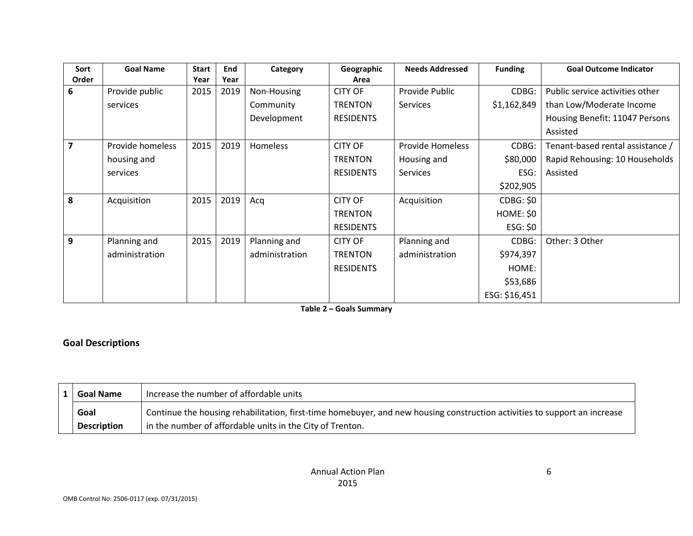| Sort  | <b>Goal Name</b> | <b>Start</b> | End  | Category       | Geographic       | <b>Needs Addressed</b>  | <b>Funding</b>   | <b>Goal Outcome Indicator</b>    |
|-------|------------------|--------------|------|----------------|------------------|-------------------------|------------------|----------------------------------|
| Order |                  | Year         | Year |                | Area             |                         |                  |                                  |
| 6     | Provide public   | 2015         | 2019 | Non-Housing    | <b>CITY OF</b>   | Provide Public          | CDBG:            | Public service activities other  |
|       | services         |              |      | Community      | <b>TRENTON</b>   | Services                | \$1,162,849      | than Low/Moderate Income         |
|       |                  |              |      | Development    | <b>RESIDENTS</b> |                         |                  | Housing Benefit: 11047 Persons   |
|       |                  |              |      |                |                  |                         |                  | Assisted                         |
| 7     | Provide homeless | 2015         | 2019 | Homeless       | <b>CITY OF</b>   | <b>Provide Homeless</b> | CDBG:            | Tenant-based rental assistance / |
|       | housing and      |              |      |                | <b>TRENTON</b>   | Housing and             | \$80,000         | Rapid Rehousing: 10 Households   |
|       | services         |              |      |                | <b>RESIDENTS</b> | <b>Services</b>         | ESG:             | Assisted                         |
|       |                  |              |      |                |                  |                         | \$202,905        |                                  |
| 8     | Acquisition      | 2015         | 2019 | Acq            | <b>CITY OF</b>   | Acquisition             | <b>CDBG: \$0</b> |                                  |
|       |                  |              |      |                | <b>TRENTON</b>   |                         | HOME: \$0        |                                  |
|       |                  |              |      |                | <b>RESIDENTS</b> |                         | ESG: \$0         |                                  |
| 9     | Planning and     | 2015         | 2019 | Planning and   | <b>CITY OF</b>   | Planning and            | CDBG:            | Other: 3 Other                   |
|       | administration   |              |      | administration | <b>TRENTON</b>   | administration          | \$974,397        |                                  |
|       |                  |              |      |                | <b>RESIDENTS</b> |                         | HOME:            |                                  |
|       |                  |              |      |                |                  |                         | \$53,686         |                                  |
|       |                  |              |      |                |                  |                         | ESG: \$16,451    |                                  |

**Table 2 – Goals Summary**

### **Goal Descriptions**

| <b>Goal Name</b>   | Increase the number of affordable units                                                                                   |
|--------------------|---------------------------------------------------------------------------------------------------------------------------|
| Goal               | Continue the housing rehabilitation, first-time homebuyer, and new housing construction activities to support an increase |
| <b>Description</b> | in the number of affordable units in the City of Trenton.                                                                 |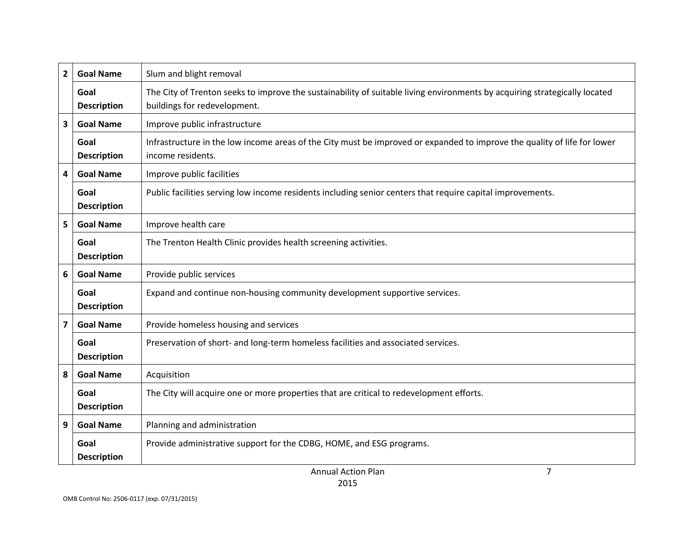| 2                       | <b>Goal Name</b>           | Slum and blight removal                                                                                                                                    |  |  |  |  |
|-------------------------|----------------------------|------------------------------------------------------------------------------------------------------------------------------------------------------------|--|--|--|--|
|                         | Goal<br><b>Description</b> | The City of Trenton seeks to improve the sustainability of suitable living environments by acquiring strategically located<br>buildings for redevelopment. |  |  |  |  |
| 3                       | <b>Goal Name</b>           | Improve public infrastructure                                                                                                                              |  |  |  |  |
|                         | Goal<br><b>Description</b> | Infrastructure in the low income areas of the City must be improved or expanded to improve the quality of life for lower<br>income residents.              |  |  |  |  |
| 4                       | <b>Goal Name</b>           | Improve public facilities                                                                                                                                  |  |  |  |  |
|                         | Goal<br><b>Description</b> | Public facilities serving low income residents including senior centers that require capital improvements.                                                 |  |  |  |  |
| 5                       | <b>Goal Name</b>           | Improve health care                                                                                                                                        |  |  |  |  |
|                         | Goal<br><b>Description</b> | The Trenton Health Clinic provides health screening activities.                                                                                            |  |  |  |  |
| 6                       | <b>Goal Name</b>           | Provide public services                                                                                                                                    |  |  |  |  |
|                         | Goal<br><b>Description</b> | Expand and continue non-housing community development supportive services.                                                                                 |  |  |  |  |
| $\overline{\mathbf{z}}$ | <b>Goal Name</b>           | Provide homeless housing and services                                                                                                                      |  |  |  |  |
|                         | Goal<br><b>Description</b> | Preservation of short- and long-term homeless facilities and associated services.                                                                          |  |  |  |  |
| 8                       | <b>Goal Name</b>           | Acquisition                                                                                                                                                |  |  |  |  |
|                         | Goal<br><b>Description</b> | The City will acquire one or more properties that are critical to redevelopment efforts.                                                                   |  |  |  |  |
| 9                       | <b>Goal Name</b>           | Planning and administration                                                                                                                                |  |  |  |  |
|                         | Goal<br><b>Description</b> | Provide administrative support for the CDBG, HOME, and ESG programs.                                                                                       |  |  |  |  |
|                         |                            | 7<br><b>Annual Action Plan</b>                                                                                                                             |  |  |  |  |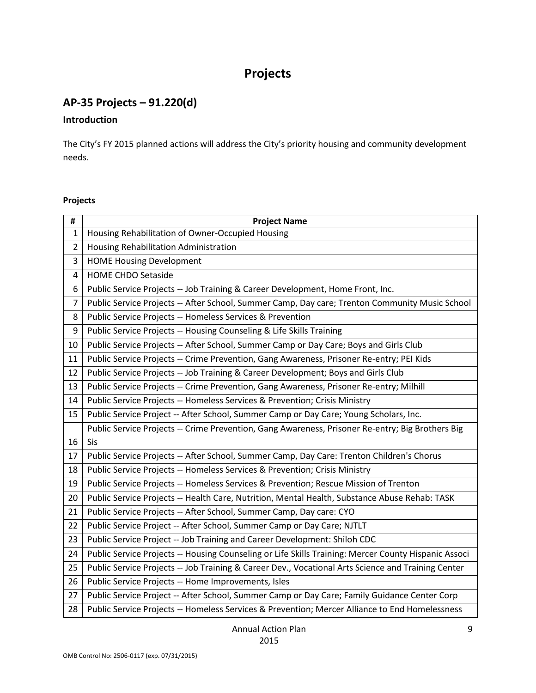# **Projects**

# **AP-35 Projects – 91.220(d)**

#### **Introduction**

The City's FY 2015 planned actions will address the City's priority housing and community development needs.

### **Projects**

| #              | <b>Project Name</b>                                                                                  |
|----------------|------------------------------------------------------------------------------------------------------|
| $\mathbf{1}$   | Housing Rehabilitation of Owner-Occupied Housing                                                     |
| $\overline{2}$ | Housing Rehabilitation Administration                                                                |
| 3              | <b>HOME Housing Development</b>                                                                      |
| 4              | <b>HOME CHDO Setaside</b>                                                                            |
| 6              | Public Service Projects -- Job Training & Career Development, Home Front, Inc.                       |
| $\overline{7}$ | Public Service Projects -- After School, Summer Camp, Day care; Trenton Community Music School       |
| 8              | Public Service Projects -- Homeless Services & Prevention                                            |
| 9              | Public Service Projects -- Housing Counseling & Life Skills Training                                 |
| 10             | Public Service Projects -- After School, Summer Camp or Day Care; Boys and Girls Club                |
| 11             | Public Service Projects -- Crime Prevention, Gang Awareness, Prisoner Re-entry; PEI Kids             |
| 12             | Public Service Projects -- Job Training & Career Development; Boys and Girls Club                    |
| 13             | Public Service Projects -- Crime Prevention, Gang Awareness, Prisoner Re-entry; Milhill              |
| 14             | Public Service Projects -- Homeless Services & Prevention; Crisis Ministry                           |
| 15             | Public Service Project -- After School, Summer Camp or Day Care; Young Scholars, Inc.                |
|                | Public Service Projects -- Crime Prevention, Gang Awareness, Prisoner Re-entry; Big Brothers Big     |
| 16             | Sis                                                                                                  |
| 17             | Public Service Projects -- After School, Summer Camp, Day Care: Trenton Children's Chorus            |
| 18             | Public Service Projects -- Homeless Services & Prevention; Crisis Ministry                           |
| 19             | Public Service Projects -- Homeless Services & Prevention; Rescue Mission of Trenton                 |
| 20             | Public Service Projects -- Health Care, Nutrition, Mental Health, Substance Abuse Rehab: TASK        |
| 21             | Public Service Projects -- After School, Summer Camp, Day care: CYO                                  |
| 22             | Public Service Project -- After School, Summer Camp or Day Care; NJTLT                               |
| 23             | Public Service Project -- Job Training and Career Development: Shiloh CDC                            |
| 24             | Public Service Projects -- Housing Counseling or Life Skills Training: Mercer County Hispanic Associ |
| 25             | Public Service Projects -- Job Training & Career Dev., Vocational Arts Science and Training Center   |
| 26             | Public Service Projects -- Home Improvements, Isles                                                  |
| 27             | Public Service Project -- After School, Summer Camp or Day Care; Family Guidance Center Corp         |
| 28             | Public Service Projects -- Homeless Services & Prevention; Mercer Alliance to End Homelessness       |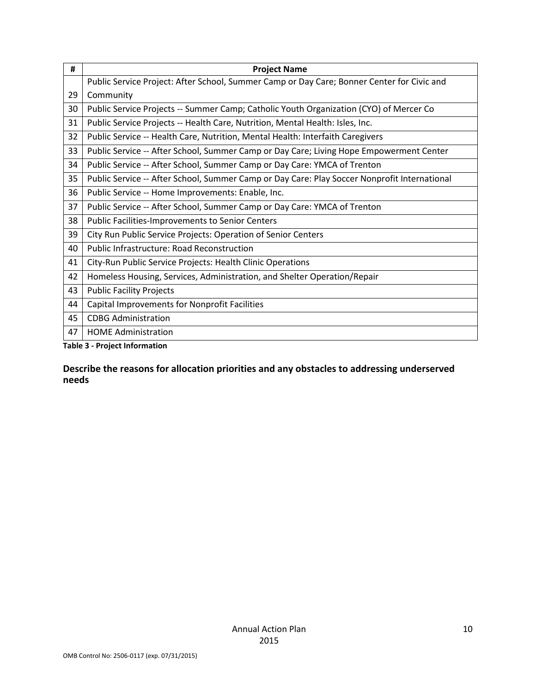| #  | <b>Project Name</b>                                                                          |  |  |  |  |
|----|----------------------------------------------------------------------------------------------|--|--|--|--|
|    | Public Service Project: After School, Summer Camp or Day Care; Bonner Center for Civic and   |  |  |  |  |
| 29 | Community                                                                                    |  |  |  |  |
| 30 | Public Service Projects -- Summer Camp; Catholic Youth Organization (CYO) of Mercer Co       |  |  |  |  |
| 31 | Public Service Projects -- Health Care, Nutrition, Mental Health: Isles, Inc.                |  |  |  |  |
| 32 | Public Service -- Health Care, Nutrition, Mental Health: Interfaith Caregivers               |  |  |  |  |
| 33 | Public Service -- After School, Summer Camp or Day Care; Living Hope Empowerment Center      |  |  |  |  |
| 34 | Public Service -- After School, Summer Camp or Day Care: YMCA of Trenton                     |  |  |  |  |
| 35 | Public Service -- After School, Summer Camp or Day Care: Play Soccer Nonprofit International |  |  |  |  |
| 36 | Public Service -- Home Improvements: Enable, Inc.                                            |  |  |  |  |
| 37 | Public Service -- After School, Summer Camp or Day Care: YMCA of Trenton                     |  |  |  |  |
| 38 | Public Facilities-Improvements to Senior Centers                                             |  |  |  |  |
| 39 | City Run Public Service Projects: Operation of Senior Centers                                |  |  |  |  |
| 40 | <b>Public Infrastructure: Road Reconstruction</b>                                            |  |  |  |  |
| 41 | City-Run Public Service Projects: Health Clinic Operations                                   |  |  |  |  |
| 42 | Homeless Housing, Services, Administration, and Shelter Operation/Repair                     |  |  |  |  |
| 43 | <b>Public Facility Projects</b>                                                              |  |  |  |  |
| 44 | Capital Improvements for Nonprofit Facilities                                                |  |  |  |  |
| 45 | <b>CDBG Administration</b>                                                                   |  |  |  |  |
| 47 | <b>HOME Administration</b>                                                                   |  |  |  |  |
|    | <b>Table 3 - Project Information</b>                                                         |  |  |  |  |

**Describe the reasons for allocation priorities and any obstacles to addressing underserved needs**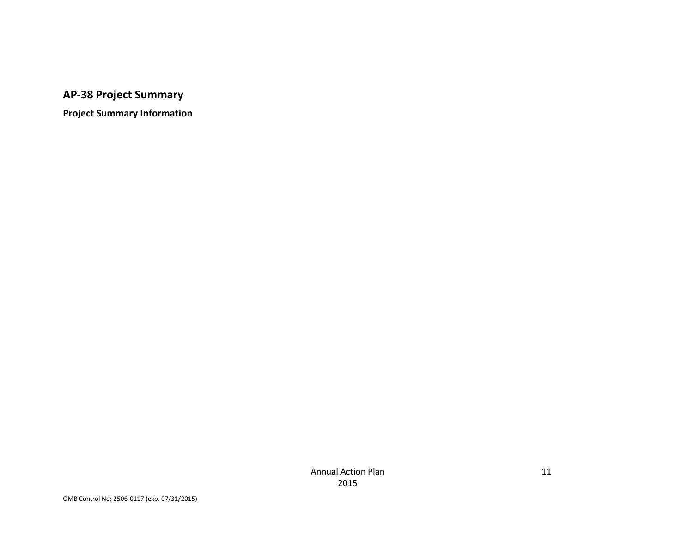# **AP-38 Project Summary**

**Project Summary Information**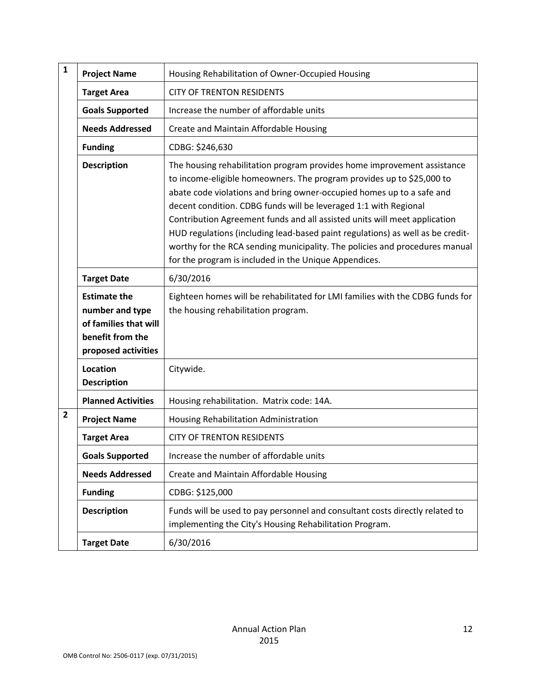| $\mathbf{1}$ | <b>Project Name</b>                                                                                        | Housing Rehabilitation of Owner-Occupied Housing                                                                                                                                                                                                                                                                                                                                                                                                                                                                                                                                                     |
|--------------|------------------------------------------------------------------------------------------------------------|------------------------------------------------------------------------------------------------------------------------------------------------------------------------------------------------------------------------------------------------------------------------------------------------------------------------------------------------------------------------------------------------------------------------------------------------------------------------------------------------------------------------------------------------------------------------------------------------------|
|              | <b>Target Area</b>                                                                                         | <b>CITY OF TRENTON RESIDENTS</b>                                                                                                                                                                                                                                                                                                                                                                                                                                                                                                                                                                     |
|              | <b>Goals Supported</b>                                                                                     | Increase the number of affordable units                                                                                                                                                                                                                                                                                                                                                                                                                                                                                                                                                              |
|              | <b>Needs Addressed</b>                                                                                     | Create and Maintain Affordable Housing                                                                                                                                                                                                                                                                                                                                                                                                                                                                                                                                                               |
|              | <b>Funding</b>                                                                                             | CDBG: \$246,630                                                                                                                                                                                                                                                                                                                                                                                                                                                                                                                                                                                      |
|              | <b>Description</b>                                                                                         | The housing rehabilitation program provides home improvement assistance<br>to income-eligible homeowners. The program provides up to \$25,000 to<br>abate code violations and bring owner-occupied homes up to a safe and<br>decent condition. CDBG funds will be leveraged 1:1 with Regional<br>Contribution Agreement funds and all assisted units will meet application<br>HUD regulations (including lead-based paint regulations) as well as be credit-<br>worthy for the RCA sending municipality. The policies and procedures manual<br>for the program is included in the Unique Appendices. |
|              | <b>Target Date</b>                                                                                         | 6/30/2016                                                                                                                                                                                                                                                                                                                                                                                                                                                                                                                                                                                            |
|              | <b>Estimate the</b><br>number and type<br>of families that will<br>benefit from the<br>proposed activities | Eighteen homes will be rehabilitated for LMI families with the CDBG funds for<br>the housing rehabilitation program.                                                                                                                                                                                                                                                                                                                                                                                                                                                                                 |
|              | Location<br><b>Description</b>                                                                             | Citywide.                                                                                                                                                                                                                                                                                                                                                                                                                                                                                                                                                                                            |
|              | <b>Planned Activities</b>                                                                                  | Housing rehabilitation. Matrix code: 14A.                                                                                                                                                                                                                                                                                                                                                                                                                                                                                                                                                            |
| $\mathbf{2}$ | <b>Project Name</b>                                                                                        | Housing Rehabilitation Administration                                                                                                                                                                                                                                                                                                                                                                                                                                                                                                                                                                |
|              | <b>Target Area</b>                                                                                         | <b>CITY OF TRENTON RESIDENTS</b>                                                                                                                                                                                                                                                                                                                                                                                                                                                                                                                                                                     |
|              | <b>Goals Supported</b>                                                                                     | Increase the number of affordable units                                                                                                                                                                                                                                                                                                                                                                                                                                                                                                                                                              |
|              | <b>Needs Addressed</b>                                                                                     | Create and Maintain Affordable Housing                                                                                                                                                                                                                                                                                                                                                                                                                                                                                                                                                               |
|              | <b>Funding</b>                                                                                             | CDBG: \$125,000                                                                                                                                                                                                                                                                                                                                                                                                                                                                                                                                                                                      |
|              | <b>Description</b>                                                                                         | Funds will be used to pay personnel and consultant costs directly related to<br>implementing the City's Housing Rehabilitation Program.                                                                                                                                                                                                                                                                                                                                                                                                                                                              |
|              | <b>Target Date</b>                                                                                         | 6/30/2016                                                                                                                                                                                                                                                                                                                                                                                                                                                                                                                                                                                            |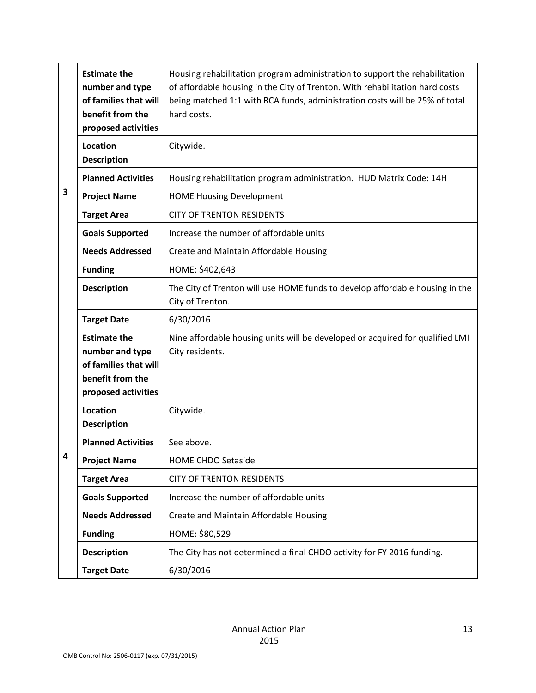|                         | <b>Estimate the</b><br>number and type<br>of families that will<br>benefit from the<br>proposed activities | Housing rehabilitation program administration to support the rehabilitation<br>of affordable housing in the City of Trenton. With rehabilitation hard costs<br>being matched 1:1 with RCA funds, administration costs will be 25% of total<br>hard costs. |
|-------------------------|------------------------------------------------------------------------------------------------------------|-----------------------------------------------------------------------------------------------------------------------------------------------------------------------------------------------------------------------------------------------------------|
|                         | <b>Location</b><br><b>Description</b>                                                                      | Citywide.                                                                                                                                                                                                                                                 |
|                         | <b>Planned Activities</b>                                                                                  | Housing rehabilitation program administration. HUD Matrix Code: 14H                                                                                                                                                                                       |
| $\overline{\mathbf{3}}$ | <b>Project Name</b>                                                                                        | <b>HOME Housing Development</b>                                                                                                                                                                                                                           |
|                         | <b>Target Area</b>                                                                                         | <b>CITY OF TRENTON RESIDENTS</b>                                                                                                                                                                                                                          |
|                         | <b>Goals Supported</b>                                                                                     | Increase the number of affordable units                                                                                                                                                                                                                   |
|                         | <b>Needs Addressed</b>                                                                                     | Create and Maintain Affordable Housing                                                                                                                                                                                                                    |
|                         | <b>Funding</b>                                                                                             | HOME: \$402,643                                                                                                                                                                                                                                           |
|                         | <b>Description</b>                                                                                         | The City of Trenton will use HOME funds to develop affordable housing in the<br>City of Trenton.                                                                                                                                                          |
|                         | <b>Target Date</b>                                                                                         | 6/30/2016                                                                                                                                                                                                                                                 |
|                         | <b>Estimate the</b><br>number and type<br>of families that will<br>benefit from the<br>proposed activities | Nine affordable housing units will be developed or acquired for qualified LMI<br>City residents.                                                                                                                                                          |
|                         | <b>Location</b><br><b>Description</b>                                                                      | Citywide.                                                                                                                                                                                                                                                 |
|                         | <b>Planned Activities</b>                                                                                  | See above.                                                                                                                                                                                                                                                |
| 4                       | <b>Project Name</b>                                                                                        | <b>HOME CHDO Setaside</b>                                                                                                                                                                                                                                 |
|                         | <b>Target Area</b>                                                                                         | <b>CITY OF TRENTON RESIDENTS</b>                                                                                                                                                                                                                          |
|                         | <b>Goals Supported</b>                                                                                     | Increase the number of affordable units                                                                                                                                                                                                                   |
|                         | <b>Needs Addressed</b>                                                                                     | Create and Maintain Affordable Housing                                                                                                                                                                                                                    |
|                         | <b>Funding</b>                                                                                             | HOME: \$80,529                                                                                                                                                                                                                                            |
|                         | <b>Description</b>                                                                                         | The City has not determined a final CHDO activity for FY 2016 funding.                                                                                                                                                                                    |
|                         | <b>Target Date</b>                                                                                         | 6/30/2016                                                                                                                                                                                                                                                 |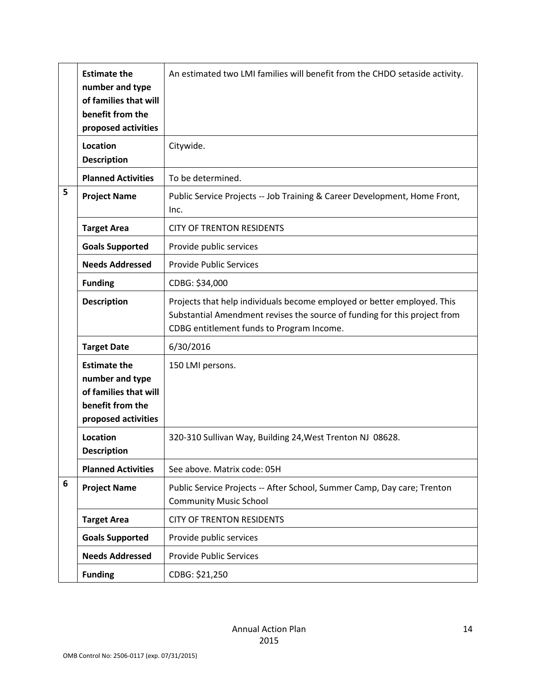|   | <b>Estimate the</b><br>number and type<br>of families that will<br>benefit from the<br>proposed activities | An estimated two LMI families will benefit from the CHDO setaside activity.                                                                                                                       |
|---|------------------------------------------------------------------------------------------------------------|---------------------------------------------------------------------------------------------------------------------------------------------------------------------------------------------------|
|   | <b>Location</b><br><b>Description</b>                                                                      | Citywide.                                                                                                                                                                                         |
|   | <b>Planned Activities</b>                                                                                  | To be determined.                                                                                                                                                                                 |
| 5 | <b>Project Name</b>                                                                                        | Public Service Projects -- Job Training & Career Development, Home Front,<br>Inc.                                                                                                                 |
|   | <b>Target Area</b>                                                                                         | <b>CITY OF TRENTON RESIDENTS</b>                                                                                                                                                                  |
|   | <b>Goals Supported</b>                                                                                     | Provide public services                                                                                                                                                                           |
|   | <b>Needs Addressed</b>                                                                                     | <b>Provide Public Services</b>                                                                                                                                                                    |
|   | <b>Funding</b>                                                                                             | CDBG: \$34,000                                                                                                                                                                                    |
|   | <b>Description</b>                                                                                         | Projects that help individuals become employed or better employed. This<br>Substantial Amendment revises the source of funding for this project from<br>CDBG entitlement funds to Program Income. |
|   | <b>Target Date</b>                                                                                         | 6/30/2016                                                                                                                                                                                         |
|   | <b>Estimate the</b><br>number and type<br>of families that will<br>benefit from the<br>proposed activities | 150 LMI persons.                                                                                                                                                                                  |
|   | Location<br><b>Description</b>                                                                             | 320-310 Sullivan Way, Building 24, West Trenton NJ 08628.                                                                                                                                         |
|   | <b>Planned Activities</b>                                                                                  | See above. Matrix code: 05H                                                                                                                                                                       |
| 6 | <b>Project Name</b>                                                                                        | Public Service Projects -- After School, Summer Camp, Day care; Trenton<br><b>Community Music School</b>                                                                                          |
|   | <b>Target Area</b>                                                                                         | <b>CITY OF TRENTON RESIDENTS</b>                                                                                                                                                                  |
|   | <b>Goals Supported</b>                                                                                     | Provide public services                                                                                                                                                                           |
|   | <b>Needs Addressed</b>                                                                                     | <b>Provide Public Services</b>                                                                                                                                                                    |
|   | <b>Funding</b>                                                                                             | CDBG: \$21,250                                                                                                                                                                                    |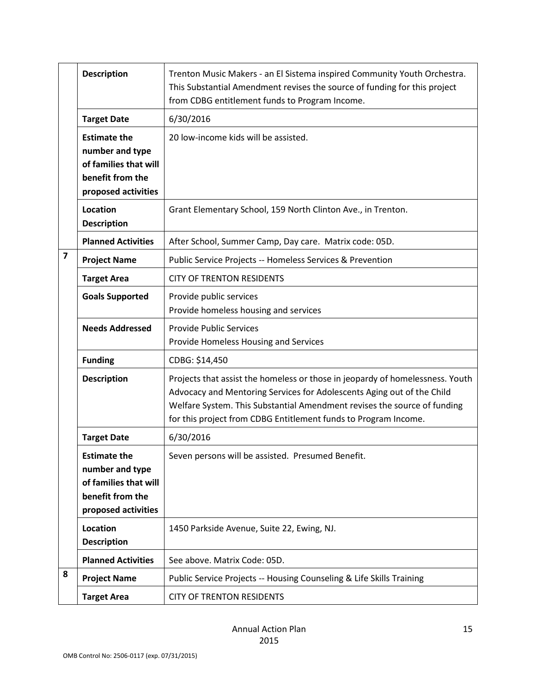|                         | <b>Description</b>                                                                                         | Trenton Music Makers - an El Sistema inspired Community Youth Orchestra.<br>This Substantial Amendment revises the source of funding for this project                                                                                                                                                  |
|-------------------------|------------------------------------------------------------------------------------------------------------|--------------------------------------------------------------------------------------------------------------------------------------------------------------------------------------------------------------------------------------------------------------------------------------------------------|
|                         |                                                                                                            | from CDBG entitlement funds to Program Income.                                                                                                                                                                                                                                                         |
|                         | <b>Target Date</b>                                                                                         | 6/30/2016                                                                                                                                                                                                                                                                                              |
|                         | <b>Estimate the</b><br>number and type<br>of families that will<br>benefit from the<br>proposed activities | 20 low-income kids will be assisted.                                                                                                                                                                                                                                                                   |
|                         | Location<br><b>Description</b>                                                                             | Grant Elementary School, 159 North Clinton Ave., in Trenton.                                                                                                                                                                                                                                           |
|                         | <b>Planned Activities</b>                                                                                  | After School, Summer Camp, Day care. Matrix code: 05D.                                                                                                                                                                                                                                                 |
| $\overline{\mathbf{z}}$ | <b>Project Name</b>                                                                                        | Public Service Projects -- Homeless Services & Prevention                                                                                                                                                                                                                                              |
|                         | <b>Target Area</b>                                                                                         | <b>CITY OF TRENTON RESIDENTS</b>                                                                                                                                                                                                                                                                       |
|                         | <b>Goals Supported</b>                                                                                     | Provide public services<br>Provide homeless housing and services                                                                                                                                                                                                                                       |
|                         | <b>Needs Addressed</b>                                                                                     | <b>Provide Public Services</b><br>Provide Homeless Housing and Services                                                                                                                                                                                                                                |
|                         | <b>Funding</b>                                                                                             | CDBG: \$14,450                                                                                                                                                                                                                                                                                         |
|                         | <b>Description</b>                                                                                         | Projects that assist the homeless or those in jeopardy of homelessness. Youth<br>Advocacy and Mentoring Services for Adolescents Aging out of the Child<br>Welfare System. This Substantial Amendment revises the source of funding<br>for this project from CDBG Entitlement funds to Program Income. |
|                         | <b>Target Date</b>                                                                                         | 6/30/2016                                                                                                                                                                                                                                                                                              |
|                         | <b>Estimate the</b><br>number and type<br>of families that will<br>benefit from the<br>proposed activities | Seven persons will be assisted. Presumed Benefit.                                                                                                                                                                                                                                                      |
|                         | Location<br><b>Description</b>                                                                             | 1450 Parkside Avenue, Suite 22, Ewing, NJ.                                                                                                                                                                                                                                                             |
|                         | <b>Planned Activities</b>                                                                                  | See above. Matrix Code: 05D.                                                                                                                                                                                                                                                                           |
| 8                       | <b>Project Name</b>                                                                                        | Public Service Projects -- Housing Counseling & Life Skills Training                                                                                                                                                                                                                                   |
|                         | <b>Target Area</b>                                                                                         | <b>CITY OF TRENTON RESIDENTS</b>                                                                                                                                                                                                                                                                       |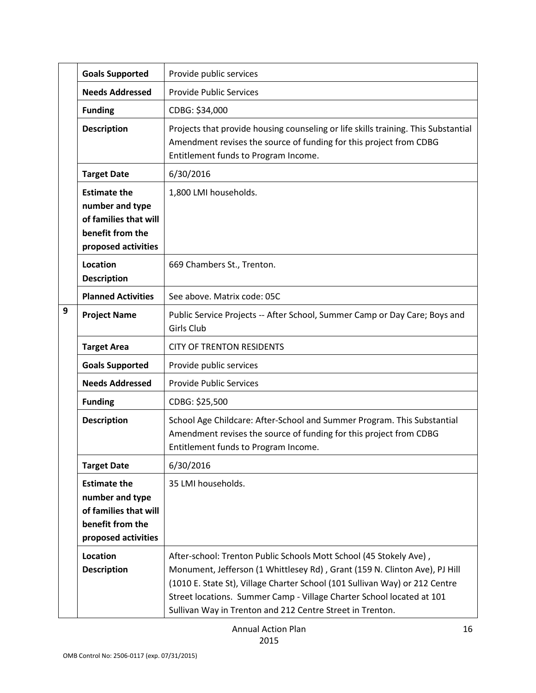|   | <b>Goals Supported</b>                                                                                     | Provide public services                                                                                                                                                                                                                                                                                                                                               |
|---|------------------------------------------------------------------------------------------------------------|-----------------------------------------------------------------------------------------------------------------------------------------------------------------------------------------------------------------------------------------------------------------------------------------------------------------------------------------------------------------------|
|   | <b>Needs Addressed</b>                                                                                     | <b>Provide Public Services</b>                                                                                                                                                                                                                                                                                                                                        |
|   | <b>Funding</b>                                                                                             | CDBG: \$34,000                                                                                                                                                                                                                                                                                                                                                        |
|   | <b>Description</b>                                                                                         | Projects that provide housing counseling or life skills training. This Substantial<br>Amendment revises the source of funding for this project from CDBG<br>Entitlement funds to Program Income.                                                                                                                                                                      |
|   | <b>Target Date</b>                                                                                         | 6/30/2016                                                                                                                                                                                                                                                                                                                                                             |
|   | <b>Estimate the</b><br>number and type<br>of families that will<br>benefit from the<br>proposed activities | 1,800 LMI households.                                                                                                                                                                                                                                                                                                                                                 |
|   | Location<br><b>Description</b>                                                                             | 669 Chambers St., Trenton.                                                                                                                                                                                                                                                                                                                                            |
|   | <b>Planned Activities</b>                                                                                  | See above. Matrix code: 05C                                                                                                                                                                                                                                                                                                                                           |
| 9 | <b>Project Name</b>                                                                                        | Public Service Projects -- After School, Summer Camp or Day Care; Boys and<br>Girls Club                                                                                                                                                                                                                                                                              |
|   | <b>Target Area</b>                                                                                         | <b>CITY OF TRENTON RESIDENTS</b>                                                                                                                                                                                                                                                                                                                                      |
|   | <b>Goals Supported</b>                                                                                     | Provide public services                                                                                                                                                                                                                                                                                                                                               |
|   | <b>Needs Addressed</b>                                                                                     | <b>Provide Public Services</b>                                                                                                                                                                                                                                                                                                                                        |
|   | <b>Funding</b>                                                                                             | CDBG: \$25,500                                                                                                                                                                                                                                                                                                                                                        |
|   | <b>Description</b>                                                                                         | School Age Childcare: After-School and Summer Program. This Substantial<br>Amendment revises the source of funding for this project from CDBG<br>Entitlement funds to Program Income.                                                                                                                                                                                 |
|   | <b>Target Date</b>                                                                                         | 6/30/2016                                                                                                                                                                                                                                                                                                                                                             |
|   | <b>Estimate the</b><br>number and type<br>of families that will<br>benefit from the<br>proposed activities | 35 LMI households.                                                                                                                                                                                                                                                                                                                                                    |
|   | Location<br><b>Description</b>                                                                             | After-school: Trenton Public Schools Mott School (45 Stokely Ave),<br>Monument, Jefferson (1 Whittlesey Rd), Grant (159 N. Clinton Ave), PJ Hill<br>(1010 E. State St), Village Charter School (101 Sullivan Way) or 212 Centre<br>Street locations. Summer Camp - Village Charter School located at 101<br>Sullivan Way in Trenton and 212 Centre Street in Trenton. |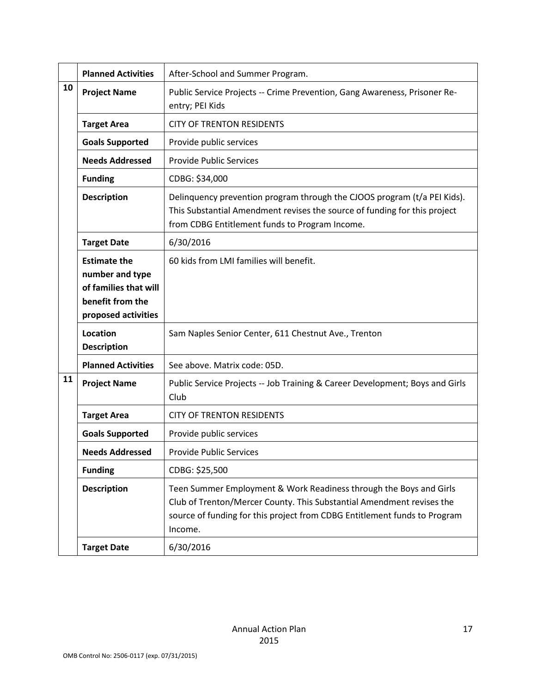|    | <b>Planned Activities</b>                                                                                  | After-School and Summer Program.                                                                                                                                                                                                    |
|----|------------------------------------------------------------------------------------------------------------|-------------------------------------------------------------------------------------------------------------------------------------------------------------------------------------------------------------------------------------|
| 10 | <b>Project Name</b>                                                                                        | Public Service Projects -- Crime Prevention, Gang Awareness, Prisoner Re-<br>entry; PEI Kids                                                                                                                                        |
|    | <b>Target Area</b>                                                                                         | <b>CITY OF TRENTON RESIDENTS</b>                                                                                                                                                                                                    |
|    | <b>Goals Supported</b>                                                                                     | Provide public services                                                                                                                                                                                                             |
|    | <b>Needs Addressed</b>                                                                                     | <b>Provide Public Services</b>                                                                                                                                                                                                      |
|    | <b>Funding</b>                                                                                             | CDBG: \$34,000                                                                                                                                                                                                                      |
|    | <b>Description</b>                                                                                         | Delinquency prevention program through the CJOOS program (t/a PEI Kids).<br>This Substantial Amendment revises the source of funding for this project<br>from CDBG Entitlement funds to Program Income.                             |
|    | <b>Target Date</b>                                                                                         | 6/30/2016                                                                                                                                                                                                                           |
|    | <b>Estimate the</b><br>number and type<br>of families that will<br>benefit from the<br>proposed activities | 60 kids from LMI families will benefit.                                                                                                                                                                                             |
|    | Location<br><b>Description</b>                                                                             | Sam Naples Senior Center, 611 Chestnut Ave., Trenton                                                                                                                                                                                |
|    | <b>Planned Activities</b>                                                                                  | See above. Matrix code: 05D.                                                                                                                                                                                                        |
| 11 | <b>Project Name</b>                                                                                        | Public Service Projects -- Job Training & Career Development; Boys and Girls<br>Club                                                                                                                                                |
|    | <b>Target Area</b>                                                                                         | <b>CITY OF TRENTON RESIDENTS</b>                                                                                                                                                                                                    |
|    | <b>Goals Supported</b>                                                                                     | Provide public services                                                                                                                                                                                                             |
|    | <b>Needs Addressed</b>                                                                                     | <b>Provide Public Services</b>                                                                                                                                                                                                      |
|    | <b>Funding</b>                                                                                             | CDBG: \$25,500                                                                                                                                                                                                                      |
|    | <b>Description</b>                                                                                         | Teen Summer Employment & Work Readiness through the Boys and Girls<br>Club of Trenton/Mercer County. This Substantial Amendment revises the<br>source of funding for this project from CDBG Entitlement funds to Program<br>Income. |
|    | <b>Target Date</b>                                                                                         | 6/30/2016                                                                                                                                                                                                                           |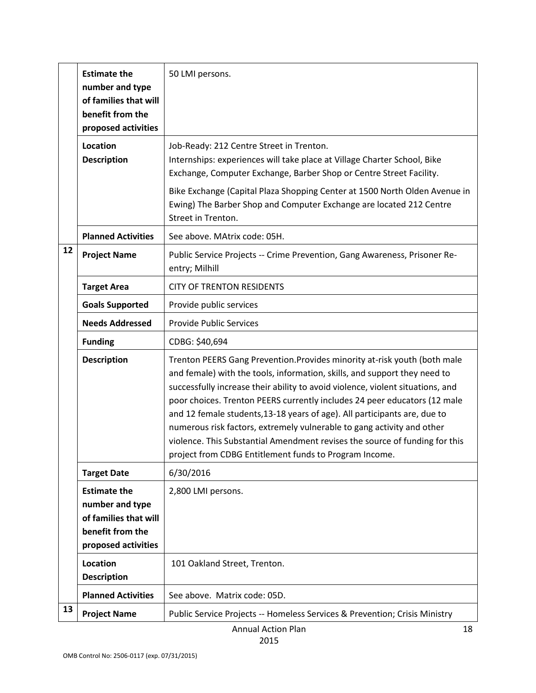|    | <b>Estimate the</b><br>number and type<br>of families that will<br>benefit from the<br>proposed activities | 50 LMI persons.                                                                                                                                                                                                                                                                                                                                                                                                                                                                                                                                                                                                       |
|----|------------------------------------------------------------------------------------------------------------|-----------------------------------------------------------------------------------------------------------------------------------------------------------------------------------------------------------------------------------------------------------------------------------------------------------------------------------------------------------------------------------------------------------------------------------------------------------------------------------------------------------------------------------------------------------------------------------------------------------------------|
|    | Location<br><b>Description</b>                                                                             | Job-Ready: 212 Centre Street in Trenton.<br>Internships: experiences will take place at Village Charter School, Bike<br>Exchange, Computer Exchange, Barber Shop or Centre Street Facility.<br>Bike Exchange (Capital Plaza Shopping Center at 1500 North Olden Avenue in<br>Ewing) The Barber Shop and Computer Exchange are located 212 Centre<br>Street in Trenton.                                                                                                                                                                                                                                                |
|    | <b>Planned Activities</b>                                                                                  | See above. MAtrix code: 05H.                                                                                                                                                                                                                                                                                                                                                                                                                                                                                                                                                                                          |
| 12 | <b>Project Name</b>                                                                                        | Public Service Projects -- Crime Prevention, Gang Awareness, Prisoner Re-<br>entry; Milhill                                                                                                                                                                                                                                                                                                                                                                                                                                                                                                                           |
|    | <b>Target Area</b>                                                                                         | <b>CITY OF TRENTON RESIDENTS</b>                                                                                                                                                                                                                                                                                                                                                                                                                                                                                                                                                                                      |
|    | <b>Goals Supported</b>                                                                                     | Provide public services                                                                                                                                                                                                                                                                                                                                                                                                                                                                                                                                                                                               |
|    | <b>Needs Addressed</b>                                                                                     | <b>Provide Public Services</b>                                                                                                                                                                                                                                                                                                                                                                                                                                                                                                                                                                                        |
|    | <b>Funding</b>                                                                                             | CDBG: \$40,694                                                                                                                                                                                                                                                                                                                                                                                                                                                                                                                                                                                                        |
|    | <b>Description</b>                                                                                         | Trenton PEERS Gang Prevention. Provides minority at-risk youth (both male<br>and female) with the tools, information, skills, and support they need to<br>successfully increase their ability to avoid violence, violent situations, and<br>poor choices. Trenton PEERS currently includes 24 peer educators (12 male<br>and 12 female students, 13-18 years of age). All participants are, due to<br>numerous risk factors, extremely vulnerable to gang activity and other<br>violence. This Substantial Amendment revises the source of funding for this<br>project from CDBG Entitlement funds to Program Income. |
|    | <b>Target Date</b>                                                                                         | 6/30/2016                                                                                                                                                                                                                                                                                                                                                                                                                                                                                                                                                                                                             |
|    | <b>Estimate the</b><br>number and type<br>of families that will<br>benefit from the<br>proposed activities | 2,800 LMI persons.                                                                                                                                                                                                                                                                                                                                                                                                                                                                                                                                                                                                    |
|    | Location<br><b>Description</b>                                                                             | 101 Oakland Street, Trenton.                                                                                                                                                                                                                                                                                                                                                                                                                                                                                                                                                                                          |
|    | <b>Planned Activities</b>                                                                                  | See above. Matrix code: 05D.                                                                                                                                                                                                                                                                                                                                                                                                                                                                                                                                                                                          |
| 13 | <b>Project Name</b>                                                                                        | Public Service Projects -- Homeless Services & Prevention; Crisis Ministry                                                                                                                                                                                                                                                                                                                                                                                                                                                                                                                                            |

Annual Action Plan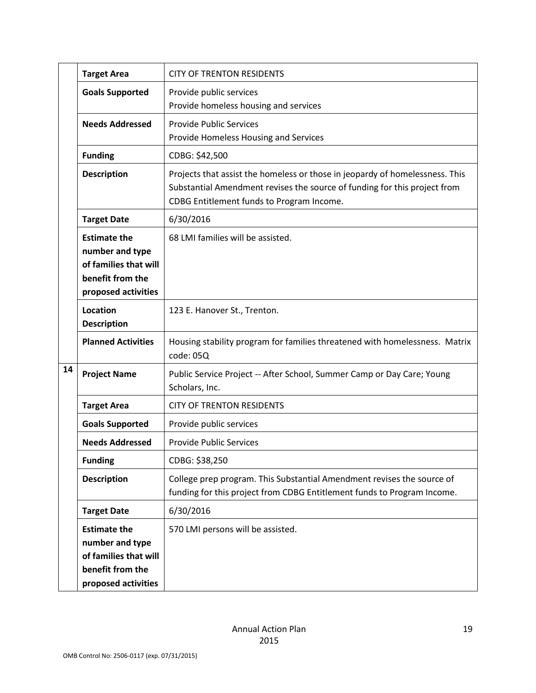|    | <b>Target Area</b>                                                                                         | <b>CITY OF TRENTON RESIDENTS</b>                                                                                                                                                                       |
|----|------------------------------------------------------------------------------------------------------------|--------------------------------------------------------------------------------------------------------------------------------------------------------------------------------------------------------|
|    | <b>Goals Supported</b>                                                                                     | Provide public services<br>Provide homeless housing and services                                                                                                                                       |
|    | <b>Needs Addressed</b>                                                                                     | <b>Provide Public Services</b><br>Provide Homeless Housing and Services                                                                                                                                |
|    | <b>Funding</b>                                                                                             | CDBG: \$42,500                                                                                                                                                                                         |
|    | <b>Description</b>                                                                                         | Projects that assist the homeless or those in jeopardy of homelessness. This<br>Substantial Amendment revises the source of funding for this project from<br>CDBG Entitlement funds to Program Income. |
|    | <b>Target Date</b>                                                                                         | 6/30/2016                                                                                                                                                                                              |
|    | <b>Estimate the</b><br>number and type<br>of families that will<br>benefit from the<br>proposed activities | 68 LMI families will be assisted.                                                                                                                                                                      |
|    | Location<br><b>Description</b>                                                                             | 123 E. Hanover St., Trenton.                                                                                                                                                                           |
|    | <b>Planned Activities</b>                                                                                  | Housing stability program for families threatened with homelessness. Matrix<br>code: 05Q                                                                                                               |
| 14 | <b>Project Name</b>                                                                                        | Public Service Project -- After School, Summer Camp or Day Care; Young<br>Scholars, Inc.                                                                                                               |
|    | <b>Target Area</b>                                                                                         | <b>CITY OF TRENTON RESIDENTS</b>                                                                                                                                                                       |
|    | <b>Goals Supported</b>                                                                                     | Provide public services                                                                                                                                                                                |
|    | <b>Needs Addressed</b>                                                                                     | <b>Provide Public Services</b>                                                                                                                                                                         |
|    | <b>Funding</b>                                                                                             | CDBG: \$38,250                                                                                                                                                                                         |
|    | <b>Description</b>                                                                                         | College prep program. This Substantial Amendment revises the source of<br>funding for this project from CDBG Entitlement funds to Program Income.                                                      |
|    | <b>Target Date</b>                                                                                         | 6/30/2016                                                                                                                                                                                              |
|    | <b>Estimate the</b><br>number and type<br>of families that will<br>benefit from the<br>proposed activities | 570 LMI persons will be assisted.                                                                                                                                                                      |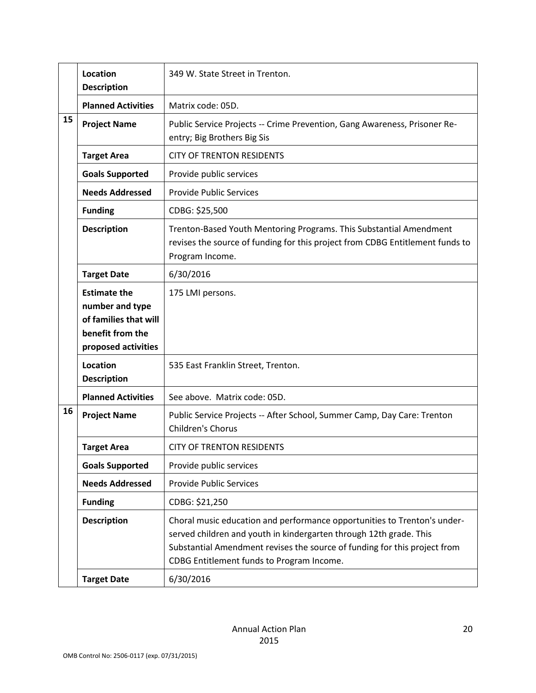|    | Location<br><b>Description</b>                                                                             | 349 W. State Street in Trenton.                                                                                                                                                                                                                                          |
|----|------------------------------------------------------------------------------------------------------------|--------------------------------------------------------------------------------------------------------------------------------------------------------------------------------------------------------------------------------------------------------------------------|
|    | <b>Planned Activities</b>                                                                                  | Matrix code: 05D.                                                                                                                                                                                                                                                        |
| 15 | <b>Project Name</b>                                                                                        | Public Service Projects -- Crime Prevention, Gang Awareness, Prisoner Re-<br>entry; Big Brothers Big Sis                                                                                                                                                                 |
|    | <b>Target Area</b>                                                                                         | <b>CITY OF TRENTON RESIDENTS</b>                                                                                                                                                                                                                                         |
|    | <b>Goals Supported</b>                                                                                     | Provide public services                                                                                                                                                                                                                                                  |
|    | <b>Needs Addressed</b>                                                                                     | <b>Provide Public Services</b>                                                                                                                                                                                                                                           |
|    | <b>Funding</b>                                                                                             | CDBG: \$25,500                                                                                                                                                                                                                                                           |
|    | <b>Description</b>                                                                                         | Trenton-Based Youth Mentoring Programs. This Substantial Amendment<br>revises the source of funding for this project from CDBG Entitlement funds to<br>Program Income.                                                                                                   |
|    | <b>Target Date</b>                                                                                         | 6/30/2016                                                                                                                                                                                                                                                                |
|    | <b>Estimate the</b><br>number and type<br>of families that will<br>benefit from the<br>proposed activities | 175 LMI persons.                                                                                                                                                                                                                                                         |
|    | Location<br><b>Description</b>                                                                             | 535 East Franklin Street, Trenton.                                                                                                                                                                                                                                       |
|    | <b>Planned Activities</b>                                                                                  | See above. Matrix code: 05D.                                                                                                                                                                                                                                             |
| 16 | <b>Project Name</b>                                                                                        | Public Service Projects -- After School, Summer Camp, Day Care: Trenton<br>Children's Chorus                                                                                                                                                                             |
|    | <b>Target Area</b>                                                                                         | <b>CITY OF TRENTON RESIDENTS</b>                                                                                                                                                                                                                                         |
|    | <b>Goals Supported</b>                                                                                     | Provide public services                                                                                                                                                                                                                                                  |
|    | <b>Needs Addressed</b>                                                                                     | <b>Provide Public Services</b>                                                                                                                                                                                                                                           |
|    | <b>Funding</b>                                                                                             | CDBG: \$21,250                                                                                                                                                                                                                                                           |
|    | <b>Description</b>                                                                                         | Choral music education and performance opportunities to Trenton's under-<br>served children and youth in kindergarten through 12th grade. This<br>Substantial Amendment revises the source of funding for this project from<br>CDBG Entitlement funds to Program Income. |
|    | <b>Target Date</b>                                                                                         | 6/30/2016                                                                                                                                                                                                                                                                |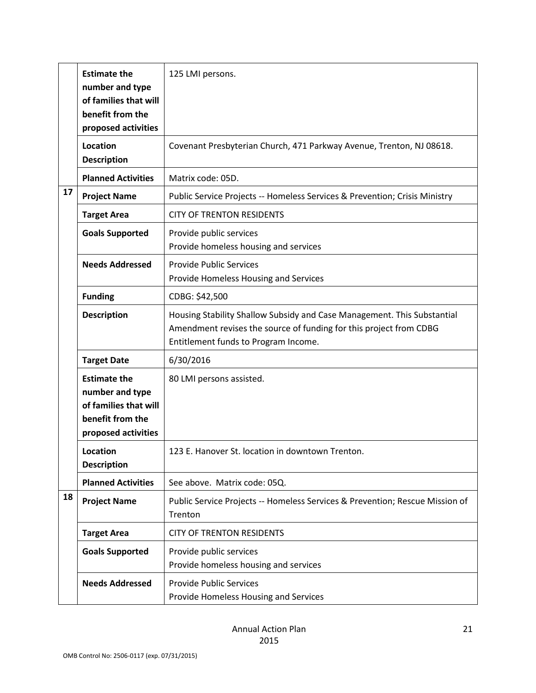|    | <b>Estimate the</b><br>number and type<br>of families that will<br>benefit from the<br>proposed activities | 125 LMI persons.                                                                                                                                                                      |
|----|------------------------------------------------------------------------------------------------------------|---------------------------------------------------------------------------------------------------------------------------------------------------------------------------------------|
|    | Location<br><b>Description</b>                                                                             | Covenant Presbyterian Church, 471 Parkway Avenue, Trenton, NJ 08618.                                                                                                                  |
|    | <b>Planned Activities</b>                                                                                  | Matrix code: 05D.                                                                                                                                                                     |
| 17 | <b>Project Name</b>                                                                                        | Public Service Projects -- Homeless Services & Prevention; Crisis Ministry                                                                                                            |
|    | <b>Target Area</b>                                                                                         | <b>CITY OF TRENTON RESIDENTS</b>                                                                                                                                                      |
|    | <b>Goals Supported</b>                                                                                     | Provide public services<br>Provide homeless housing and services                                                                                                                      |
|    | <b>Needs Addressed</b>                                                                                     | <b>Provide Public Services</b><br>Provide Homeless Housing and Services                                                                                                               |
|    | <b>Funding</b>                                                                                             | CDBG: \$42,500                                                                                                                                                                        |
|    | <b>Description</b>                                                                                         | Housing Stability Shallow Subsidy and Case Management. This Substantial<br>Amendment revises the source of funding for this project from CDBG<br>Entitlement funds to Program Income. |
|    | <b>Target Date</b>                                                                                         | 6/30/2016                                                                                                                                                                             |
|    | <b>Estimate the</b><br>number and type<br>of families that will<br>benefit from the<br>proposed activities | 80 LMI persons assisted.                                                                                                                                                              |
|    | Location<br><b>Description</b>                                                                             | 123 E. Hanover St. location in downtown Trenton.                                                                                                                                      |
|    | <b>Planned Activities</b>                                                                                  | See above. Matrix code: 05Q.                                                                                                                                                          |
| 18 | <b>Project Name</b>                                                                                        | Public Service Projects -- Homeless Services & Prevention; Rescue Mission of<br>Trenton                                                                                               |
|    | <b>Target Area</b>                                                                                         | <b>CITY OF TRENTON RESIDENTS</b>                                                                                                                                                      |
|    | <b>Goals Supported</b>                                                                                     | Provide public services<br>Provide homeless housing and services                                                                                                                      |
|    | <b>Needs Addressed</b>                                                                                     | <b>Provide Public Services</b><br>Provide Homeless Housing and Services                                                                                                               |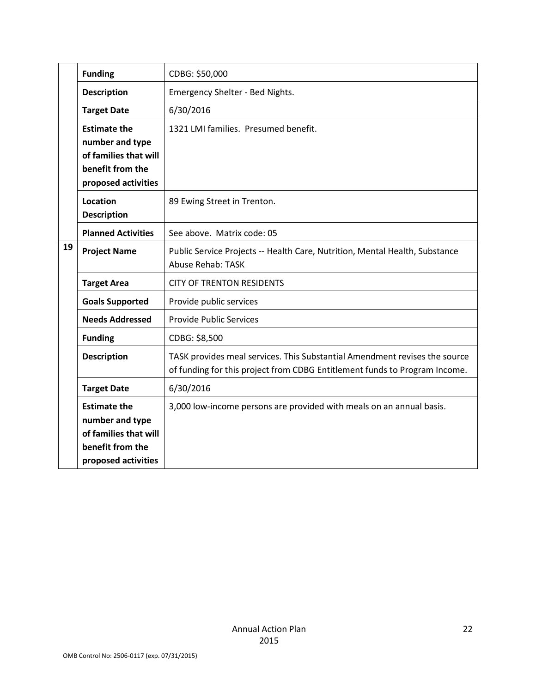|    | <b>Funding</b>                                                                                             | CDBG: \$50,000                                                                                                                                           |
|----|------------------------------------------------------------------------------------------------------------|----------------------------------------------------------------------------------------------------------------------------------------------------------|
|    | <b>Description</b>                                                                                         | Emergency Shelter - Bed Nights.                                                                                                                          |
|    | <b>Target Date</b>                                                                                         | 6/30/2016                                                                                                                                                |
|    | <b>Estimate the</b><br>number and type<br>of families that will<br>benefit from the<br>proposed activities | 1321 LMI families. Presumed benefit.                                                                                                                     |
|    | <b>Location</b><br><b>Description</b>                                                                      | 89 Ewing Street in Trenton.                                                                                                                              |
|    | <b>Planned Activities</b>                                                                                  | See above. Matrix code: 05                                                                                                                               |
| 19 | <b>Project Name</b>                                                                                        | Public Service Projects -- Health Care, Nutrition, Mental Health, Substance<br>Abuse Rehab: TASK                                                         |
|    | <b>Target Area</b>                                                                                         | <b>CITY OF TRENTON RESIDENTS</b>                                                                                                                         |
|    | <b>Goals Supported</b>                                                                                     | Provide public services                                                                                                                                  |
|    | <b>Needs Addressed</b>                                                                                     | <b>Provide Public Services</b>                                                                                                                           |
|    | <b>Funding</b>                                                                                             | CDBG: \$8,500                                                                                                                                            |
|    | <b>Description</b>                                                                                         | TASK provides meal services. This Substantial Amendment revises the source<br>of funding for this project from CDBG Entitlement funds to Program Income. |
|    | <b>Target Date</b>                                                                                         | 6/30/2016                                                                                                                                                |
|    | <b>Estimate the</b><br>number and type<br>of families that will<br>benefit from the<br>proposed activities | 3,000 low-income persons are provided with meals on an annual basis.                                                                                     |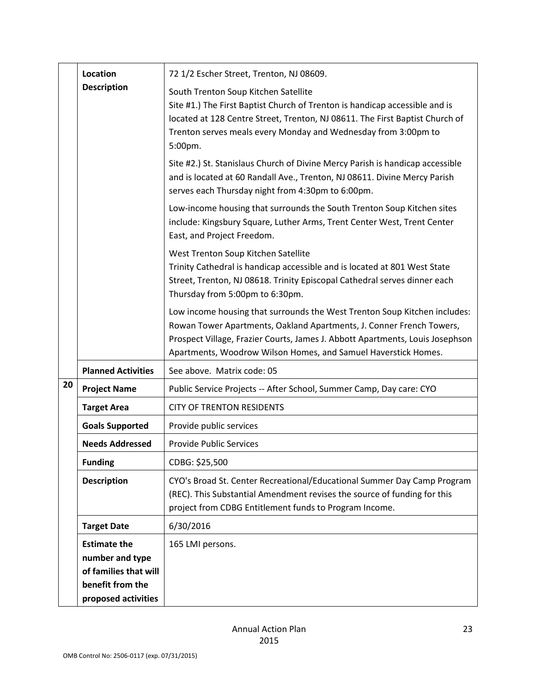|    | Location                                                                                                   | 72 1/2 Escher Street, Trenton, NJ 08609.                                                                                                                                                                                                                                                             |
|----|------------------------------------------------------------------------------------------------------------|------------------------------------------------------------------------------------------------------------------------------------------------------------------------------------------------------------------------------------------------------------------------------------------------------|
|    | <b>Description</b>                                                                                         | South Trenton Soup Kitchen Satellite<br>Site #1.) The First Baptist Church of Trenton is handicap accessible and is<br>located at 128 Centre Street, Trenton, NJ 08611. The First Baptist Church of<br>Trenton serves meals every Monday and Wednesday from 3:00pm to<br>5:00pm.                     |
|    |                                                                                                            | Site #2.) St. Stanislaus Church of Divine Mercy Parish is handicap accessible<br>and is located at 60 Randall Ave., Trenton, NJ 08611. Divine Mercy Parish<br>serves each Thursday night from 4:30pm to 6:00pm.                                                                                      |
|    |                                                                                                            | Low-income housing that surrounds the South Trenton Soup Kitchen sites<br>include: Kingsbury Square, Luther Arms, Trent Center West, Trent Center<br>East, and Project Freedom.                                                                                                                      |
|    |                                                                                                            | West Trenton Soup Kitchen Satellite<br>Trinity Cathedral is handicap accessible and is located at 801 West State<br>Street, Trenton, NJ 08618. Trinity Episcopal Cathedral serves dinner each<br>Thursday from 5:00pm to 6:30pm.                                                                     |
|    |                                                                                                            | Low income housing that surrounds the West Trenton Soup Kitchen includes:<br>Rowan Tower Apartments, Oakland Apartments, J. Conner French Towers,<br>Prospect Village, Frazier Courts, James J. Abbott Apartments, Louis Josephson<br>Apartments, Woodrow Wilson Homes, and Samuel Haverstick Homes. |
|    | <b>Planned Activities</b>                                                                                  | See above. Matrix code: 05                                                                                                                                                                                                                                                                           |
| 20 | <b>Project Name</b>                                                                                        | Public Service Projects -- After School, Summer Camp, Day care: CYO                                                                                                                                                                                                                                  |
|    | <b>Target Area</b>                                                                                         | <b>CITY OF TRENTON RESIDENTS</b>                                                                                                                                                                                                                                                                     |
|    | <b>Goals Supported</b>                                                                                     | Provide public services                                                                                                                                                                                                                                                                              |
|    | <b>Needs Addressed</b>                                                                                     | <b>Provide Public Services</b>                                                                                                                                                                                                                                                                       |
|    | <b>Funding</b>                                                                                             | CDBG: \$25,500                                                                                                                                                                                                                                                                                       |
|    | <b>Description</b>                                                                                         | CYO's Broad St. Center Recreational/Educational Summer Day Camp Program<br>(REC). This Substantial Amendment revises the source of funding for this<br>project from CDBG Entitlement funds to Program Income.                                                                                        |
|    | <b>Target Date</b>                                                                                         | 6/30/2016                                                                                                                                                                                                                                                                                            |
|    | <b>Estimate the</b><br>number and type<br>of families that will<br>benefit from the<br>proposed activities | 165 LMI persons.                                                                                                                                                                                                                                                                                     |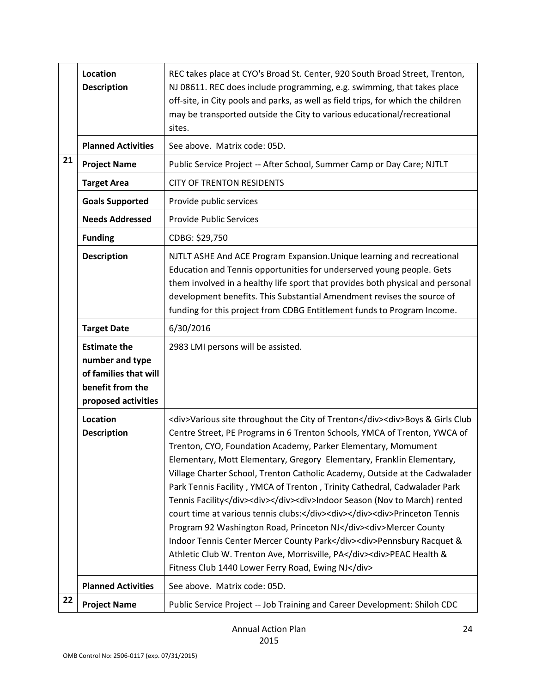|    | Location<br><b>Description</b>                                                      | REC takes place at CYO's Broad St. Center, 920 South Broad Street, Trenton,<br>NJ 08611. REC does include programming, e.g. swimming, that takes place<br>off-site, in City pools and parks, as well as field trips, for which the children<br>may be transported outside the City to various educational/recreational<br>sites.                                                                                                                                                                                                                                                                                                                                                                                                                                                                                                                                                                                                    |
|----|-------------------------------------------------------------------------------------|-------------------------------------------------------------------------------------------------------------------------------------------------------------------------------------------------------------------------------------------------------------------------------------------------------------------------------------------------------------------------------------------------------------------------------------------------------------------------------------------------------------------------------------------------------------------------------------------------------------------------------------------------------------------------------------------------------------------------------------------------------------------------------------------------------------------------------------------------------------------------------------------------------------------------------------|
|    | <b>Planned Activities</b>                                                           | See above. Matrix code: 05D.                                                                                                                                                                                                                                                                                                                                                                                                                                                                                                                                                                                                                                                                                                                                                                                                                                                                                                        |
| 21 | <b>Project Name</b>                                                                 | Public Service Project -- After School, Summer Camp or Day Care; NJTLT                                                                                                                                                                                                                                                                                                                                                                                                                                                                                                                                                                                                                                                                                                                                                                                                                                                              |
|    | <b>Target Area</b>                                                                  | <b>CITY OF TRENTON RESIDENTS</b>                                                                                                                                                                                                                                                                                                                                                                                                                                                                                                                                                                                                                                                                                                                                                                                                                                                                                                    |
|    | <b>Goals Supported</b>                                                              | Provide public services                                                                                                                                                                                                                                                                                                                                                                                                                                                                                                                                                                                                                                                                                                                                                                                                                                                                                                             |
|    | <b>Needs Addressed</b>                                                              | <b>Provide Public Services</b>                                                                                                                                                                                                                                                                                                                                                                                                                                                                                                                                                                                                                                                                                                                                                                                                                                                                                                      |
|    | <b>Funding</b>                                                                      | CDBG: \$29,750                                                                                                                                                                                                                                                                                                                                                                                                                                                                                                                                                                                                                                                                                                                                                                                                                                                                                                                      |
|    | <b>Description</b>                                                                  | NJTLT ASHE And ACE Program Expansion. Unique learning and recreational<br>Education and Tennis opportunities for underserved young people. Gets<br>them involved in a healthy life sport that provides both physical and personal<br>development benefits. This Substantial Amendment revises the source of<br>funding for this project from CDBG Entitlement funds to Program Income.                                                                                                                                                                                                                                                                                                                                                                                                                                                                                                                                              |
|    | <b>Target Date</b>                                                                  | 6/30/2016                                                                                                                                                                                                                                                                                                                                                                                                                                                                                                                                                                                                                                                                                                                                                                                                                                                                                                                           |
|    | <b>Estimate the</b>                                                                 | 2983 LMI persons will be assisted.                                                                                                                                                                                                                                                                                                                                                                                                                                                                                                                                                                                                                                                                                                                                                                                                                                                                                                  |
|    | number and type<br>of families that will<br>benefit from the<br>proposed activities |                                                                                                                                                                                                                                                                                                                                                                                                                                                                                                                                                                                                                                                                                                                                                                                                                                                                                                                                     |
|    | Location<br><b>Description</b>                                                      | <div>Various site throughout the City of Trenton</div> <div>Boys &amp; Girls Club<br/>Centre Street, PE Programs in 6 Trenton Schools, YMCA of Trenton, YWCA of<br/>Trenton, CYO, Foundation Academy, Parker Elementary, Momument<br/>Elementary, Mott Elementary, Gregory Elementary, Franklin Elementary,<br/>Village Charter School, Trenton Catholic Academy, Outside at the Cadwalader<br/>Park Tennis Facility, YMCA of Trenton, Trinity Cathedral, Cadwalader Park<br/>Tennis Facility</div> <div></div> <div>lndoor Season (Nov to March) rented<br/>court time at various tennis clubs:</div> <div></div> <div>Princeton Tennis<br/>Program 92 Washington Road, Princeton NJ</div> <div>Mercer County<br/>Indoor Tennis Center Mercer County Park</div> <div>Pennsbury Racquet &amp;<br/>Athletic Club W. Trenton Ave, Morrisville, PA</div> <div>PEAC Health &amp;<br/>Fitness Club 1440 Lower Ferry Road, Ewing NJ</div> |
|    | <b>Planned Activities</b>                                                           | See above. Matrix code: 05D.                                                                                                                                                                                                                                                                                                                                                                                                                                                                                                                                                                                                                                                                                                                                                                                                                                                                                                        |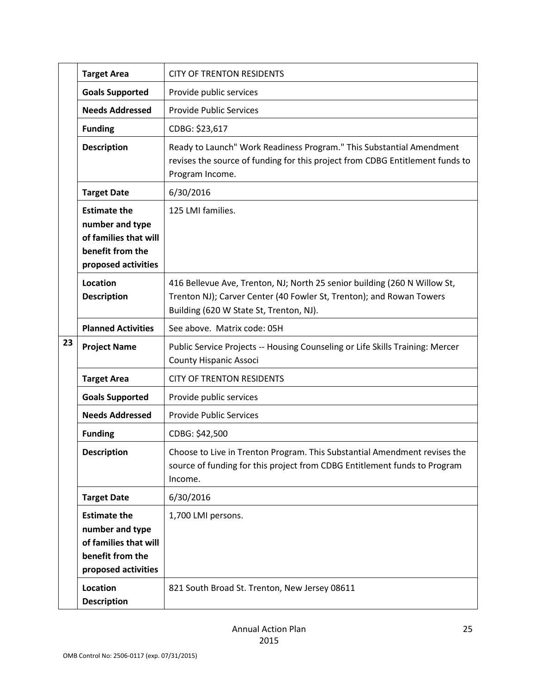|    | <b>Target Area</b>                                                                                         | <b>CITY OF TRENTON RESIDENTS</b>                                                                                                                                                             |
|----|------------------------------------------------------------------------------------------------------------|----------------------------------------------------------------------------------------------------------------------------------------------------------------------------------------------|
|    | <b>Goals Supported</b>                                                                                     | Provide public services                                                                                                                                                                      |
|    | <b>Needs Addressed</b>                                                                                     | <b>Provide Public Services</b>                                                                                                                                                               |
|    | <b>Funding</b>                                                                                             | CDBG: \$23,617                                                                                                                                                                               |
|    | <b>Description</b>                                                                                         | Ready to Launch" Work Readiness Program." This Substantial Amendment<br>revises the source of funding for this project from CDBG Entitlement funds to<br>Program Income.                     |
|    | <b>Target Date</b>                                                                                         | 6/30/2016                                                                                                                                                                                    |
|    | <b>Estimate the</b><br>number and type<br>of families that will<br>benefit from the<br>proposed activities | 125 LMI families.                                                                                                                                                                            |
|    | Location<br><b>Description</b>                                                                             | 416 Bellevue Ave, Trenton, NJ; North 25 senior building (260 N Willow St,<br>Trenton NJ); Carver Center (40 Fowler St, Trenton); and Rowan Towers<br>Building (620 W State St, Trenton, NJ). |
|    | <b>Planned Activities</b>                                                                                  | See above. Matrix code: 05H                                                                                                                                                                  |
| 23 | <b>Project Name</b>                                                                                        | Public Service Projects -- Housing Counseling or Life Skills Training: Mercer<br><b>County Hispanic Associ</b>                                                                               |
|    | <b>Target Area</b>                                                                                         | <b>CITY OF TRENTON RESIDENTS</b>                                                                                                                                                             |
|    | <b>Goals Supported</b>                                                                                     | Provide public services                                                                                                                                                                      |
|    | <b>Needs Addressed</b>                                                                                     | <b>Provide Public Services</b>                                                                                                                                                               |
|    | <b>Funding</b>                                                                                             | CDBG: \$42,500                                                                                                                                                                               |
|    | <b>Description</b>                                                                                         | Choose to Live in Trenton Program. This Substantial Amendment revises the<br>source of funding for this project from CDBG Entitlement funds to Program<br>Income.                            |
|    | <b>Target Date</b>                                                                                         | 6/30/2016                                                                                                                                                                                    |
|    | <b>Estimate the</b><br>number and type<br>of families that will<br>benefit from the<br>proposed activities | 1,700 LMI persons.                                                                                                                                                                           |
|    | Location<br><b>Description</b>                                                                             | 821 South Broad St. Trenton, New Jersey 08611                                                                                                                                                |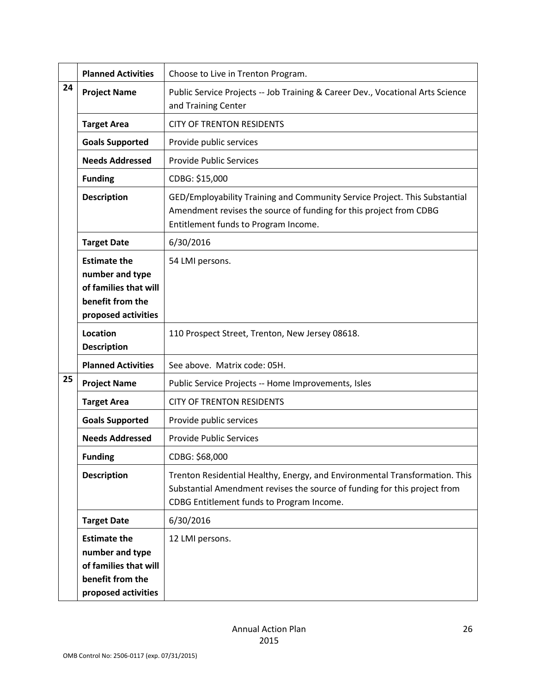|    | <b>Planned Activities</b>                                                                                  | Choose to Live in Trenton Program.                                                                                                                                                                    |
|----|------------------------------------------------------------------------------------------------------------|-------------------------------------------------------------------------------------------------------------------------------------------------------------------------------------------------------|
| 24 | <b>Project Name</b>                                                                                        | Public Service Projects -- Job Training & Career Dev., Vocational Arts Science<br>and Training Center                                                                                                 |
|    | <b>Target Area</b>                                                                                         | <b>CITY OF TRENTON RESIDENTS</b>                                                                                                                                                                      |
|    | <b>Goals Supported</b>                                                                                     | Provide public services                                                                                                                                                                               |
|    | <b>Needs Addressed</b>                                                                                     | <b>Provide Public Services</b>                                                                                                                                                                        |
|    | <b>Funding</b>                                                                                             | CDBG: \$15,000                                                                                                                                                                                        |
|    | <b>Description</b>                                                                                         | GED/Employability Training and Community Service Project. This Substantial<br>Amendment revises the source of funding for this project from CDBG<br>Entitlement funds to Program Income.              |
|    | <b>Target Date</b>                                                                                         | 6/30/2016                                                                                                                                                                                             |
|    | <b>Estimate the</b><br>number and type<br>of families that will<br>benefit from the<br>proposed activities | 54 LMI persons.                                                                                                                                                                                       |
|    | Location<br><b>Description</b>                                                                             | 110 Prospect Street, Trenton, New Jersey 08618.                                                                                                                                                       |
|    | <b>Planned Activities</b>                                                                                  | See above. Matrix code: 05H.                                                                                                                                                                          |
| 25 | <b>Project Name</b>                                                                                        | Public Service Projects -- Home Improvements, Isles                                                                                                                                                   |
|    | <b>Target Area</b>                                                                                         | <b>CITY OF TRENTON RESIDENTS</b>                                                                                                                                                                      |
|    | <b>Goals Supported</b>                                                                                     | Provide public services                                                                                                                                                                               |
|    | <b>Needs Addressed</b>                                                                                     | <b>Provide Public Services</b>                                                                                                                                                                        |
|    | <b>Funding</b>                                                                                             | CDBG: \$68,000                                                                                                                                                                                        |
|    | <b>Description</b>                                                                                         | Trenton Residential Healthy, Energy, and Environmental Transformation. This<br>Substantial Amendment revises the source of funding for this project from<br>CDBG Entitlement funds to Program Income. |
|    | <b>Target Date</b>                                                                                         | 6/30/2016                                                                                                                                                                                             |
|    | <b>Estimate the</b><br>number and type<br>of families that will<br>benefit from the<br>proposed activities | 12 LMI persons.                                                                                                                                                                                       |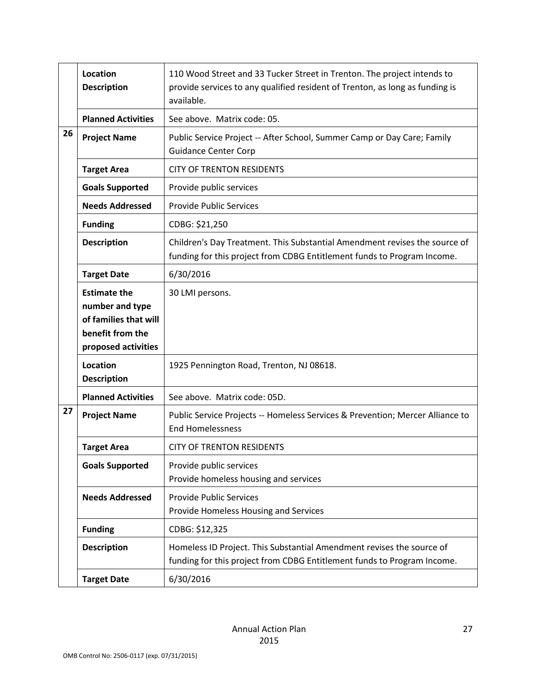|    | Location<br><b>Description</b>                                                                             | 110 Wood Street and 33 Tucker Street in Trenton. The project intends to<br>provide services to any qualified resident of Trenton, as long as funding is<br>available. |
|----|------------------------------------------------------------------------------------------------------------|-----------------------------------------------------------------------------------------------------------------------------------------------------------------------|
|    | <b>Planned Activities</b>                                                                                  | See above. Matrix code: 05.                                                                                                                                           |
| 26 | <b>Project Name</b>                                                                                        | Public Service Project -- After School, Summer Camp or Day Care; Family<br><b>Guidance Center Corp</b>                                                                |
|    | <b>Target Area</b>                                                                                         | <b>CITY OF TRENTON RESIDENTS</b>                                                                                                                                      |
|    | <b>Goals Supported</b>                                                                                     | Provide public services                                                                                                                                               |
|    | <b>Needs Addressed</b>                                                                                     | <b>Provide Public Services</b>                                                                                                                                        |
|    | <b>Funding</b>                                                                                             | CDBG: \$21,250                                                                                                                                                        |
|    | <b>Description</b>                                                                                         | Children's Day Treatment. This Substantial Amendment revises the source of<br>funding for this project from CDBG Entitlement funds to Program Income.                 |
|    | <b>Target Date</b>                                                                                         | 6/30/2016                                                                                                                                                             |
|    | <b>Estimate the</b><br>number and type<br>of families that will<br>benefit from the<br>proposed activities | 30 LMI persons.                                                                                                                                                       |
|    | Location<br><b>Description</b>                                                                             | 1925 Pennington Road, Trenton, NJ 08618.                                                                                                                              |
|    | <b>Planned Activities</b>                                                                                  | See above. Matrix code: 05D.                                                                                                                                          |
| 27 | <b>Project Name</b>                                                                                        | Public Service Projects -- Homeless Services & Prevention; Mercer Alliance to<br><b>End Homelessness</b>                                                              |
|    | <b>Target Area</b>                                                                                         | <b>CITY OF TRENTON RESIDENTS</b>                                                                                                                                      |
|    | <b>Goals Supported</b>                                                                                     | Provide public services<br>Provide homeless housing and services                                                                                                      |
|    | <b>Needs Addressed</b>                                                                                     | <b>Provide Public Services</b><br>Provide Homeless Housing and Services                                                                                               |
|    | <b>Funding</b>                                                                                             | CDBG: \$12,325                                                                                                                                                        |
|    | <b>Description</b>                                                                                         | Homeless ID Project. This Substantial Amendment revises the source of<br>funding for this project from CDBG Entitlement funds to Program Income.                      |
|    | <b>Target Date</b>                                                                                         | 6/30/2016                                                                                                                                                             |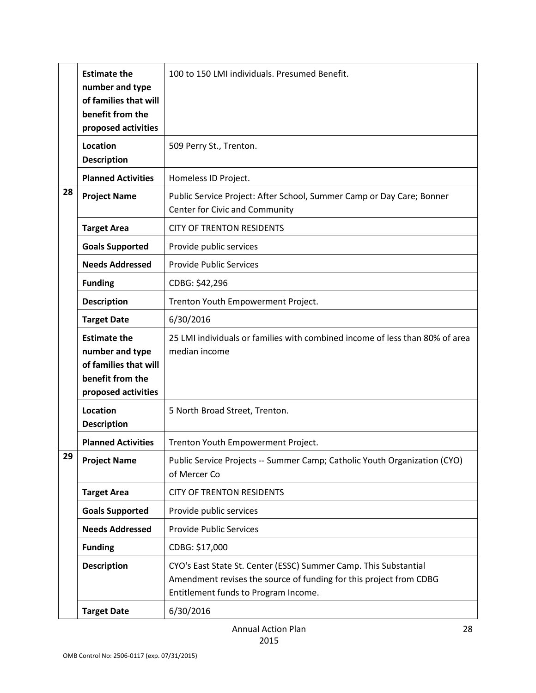|    | <b>Estimate the</b><br>number and type<br>of families that will<br>benefit from the<br>proposed activities | 100 to 150 LMI individuals. Presumed Benefit.                                                                                                                                  |
|----|------------------------------------------------------------------------------------------------------------|--------------------------------------------------------------------------------------------------------------------------------------------------------------------------------|
|    | Location<br><b>Description</b>                                                                             | 509 Perry St., Trenton.                                                                                                                                                        |
|    | <b>Planned Activities</b>                                                                                  | Homeless ID Project.                                                                                                                                                           |
| 28 | <b>Project Name</b>                                                                                        | Public Service Project: After School, Summer Camp or Day Care; Bonner<br>Center for Civic and Community                                                                        |
|    | <b>Target Area</b>                                                                                         | <b>CITY OF TRENTON RESIDENTS</b>                                                                                                                                               |
|    | <b>Goals Supported</b>                                                                                     | Provide public services                                                                                                                                                        |
|    | <b>Needs Addressed</b>                                                                                     | <b>Provide Public Services</b>                                                                                                                                                 |
|    | <b>Funding</b>                                                                                             | CDBG: \$42,296                                                                                                                                                                 |
|    | <b>Description</b>                                                                                         | Trenton Youth Empowerment Project.                                                                                                                                             |
|    | <b>Target Date</b>                                                                                         | 6/30/2016                                                                                                                                                                      |
|    | <b>Estimate the</b><br>number and type<br>of families that will<br>benefit from the<br>proposed activities | 25 LMI individuals or families with combined income of less than 80% of area<br>median income                                                                                  |
|    | Location<br><b>Description</b>                                                                             | 5 North Broad Street, Trenton.                                                                                                                                                 |
|    | <b>Planned Activities</b>                                                                                  | Trenton Youth Empowerment Project.                                                                                                                                             |
| 29 | <b>Project Name</b>                                                                                        | Public Service Projects -- Summer Camp; Catholic Youth Organization (CYO)<br>of Mercer Co                                                                                      |
|    | <b>Target Area</b>                                                                                         | <b>CITY OF TRENTON RESIDENTS</b>                                                                                                                                               |
|    | <b>Goals Supported</b>                                                                                     | Provide public services                                                                                                                                                        |
|    | <b>Needs Addressed</b>                                                                                     | <b>Provide Public Services</b>                                                                                                                                                 |
|    | <b>Funding</b>                                                                                             | CDBG: \$17,000                                                                                                                                                                 |
|    | <b>Description</b>                                                                                         | CYO's East State St. Center (ESSC) Summer Camp. This Substantial<br>Amendment revises the source of funding for this project from CDBG<br>Entitlement funds to Program Income. |
|    | <b>Target Date</b>                                                                                         | 6/30/2016                                                                                                                                                                      |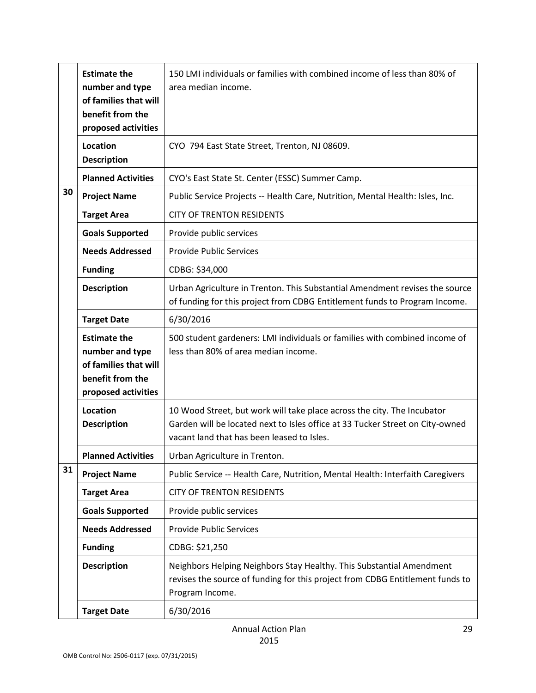|    | <b>Estimate the</b><br>number and type<br>of families that will<br>benefit from the<br>proposed activities | 150 LMI individuals or families with combined income of less than 80% of<br>area median income.                                                                                                        |
|----|------------------------------------------------------------------------------------------------------------|--------------------------------------------------------------------------------------------------------------------------------------------------------------------------------------------------------|
|    | Location<br><b>Description</b>                                                                             | CYO 794 East State Street, Trenton, NJ 08609.                                                                                                                                                          |
|    | <b>Planned Activities</b>                                                                                  | CYO's East State St. Center (ESSC) Summer Camp.                                                                                                                                                        |
| 30 | <b>Project Name</b>                                                                                        | Public Service Projects -- Health Care, Nutrition, Mental Health: Isles, Inc.                                                                                                                          |
|    | <b>Target Area</b>                                                                                         | <b>CITY OF TRENTON RESIDENTS</b>                                                                                                                                                                       |
|    | <b>Goals Supported</b>                                                                                     | Provide public services                                                                                                                                                                                |
|    | <b>Needs Addressed</b>                                                                                     | <b>Provide Public Services</b>                                                                                                                                                                         |
|    | <b>Funding</b>                                                                                             | CDBG: \$34,000                                                                                                                                                                                         |
|    | <b>Description</b>                                                                                         | Urban Agriculture in Trenton. This Substantial Amendment revises the source<br>of funding for this project from CDBG Entitlement funds to Program Income.                                              |
|    | <b>Target Date</b>                                                                                         | 6/30/2016                                                                                                                                                                                              |
|    | <b>Estimate the</b><br>number and type<br>of families that will<br>benefit from the<br>proposed activities | 500 student gardeners: LMI individuals or families with combined income of<br>less than 80% of area median income.                                                                                     |
|    | Location<br><b>Description</b>                                                                             | 10 Wood Street, but work will take place across the city. The Incubator<br>Garden will be located next to Isles office at 33 Tucker Street on City-owned<br>vacant land that has been leased to Isles. |
|    | <b>Planned Activities</b>                                                                                  | Urban Agriculture in Trenton.                                                                                                                                                                          |
| 31 | <b>Project Name</b>                                                                                        | Public Service -- Health Care, Nutrition, Mental Health: Interfaith Caregivers                                                                                                                         |
|    | <b>Target Area</b>                                                                                         | <b>CITY OF TRENTON RESIDENTS</b>                                                                                                                                                                       |
|    | <b>Goals Supported</b>                                                                                     | Provide public services                                                                                                                                                                                |
|    | <b>Needs Addressed</b>                                                                                     | <b>Provide Public Services</b>                                                                                                                                                                         |
|    | <b>Funding</b>                                                                                             | CDBG: \$21,250                                                                                                                                                                                         |
|    | <b>Description</b>                                                                                         | Neighbors Helping Neighbors Stay Healthy. This Substantial Amendment<br>revises the source of funding for this project from CDBG Entitlement funds to<br>Program Income.                               |
|    | <b>Target Date</b>                                                                                         | 6/30/2016                                                                                                                                                                                              |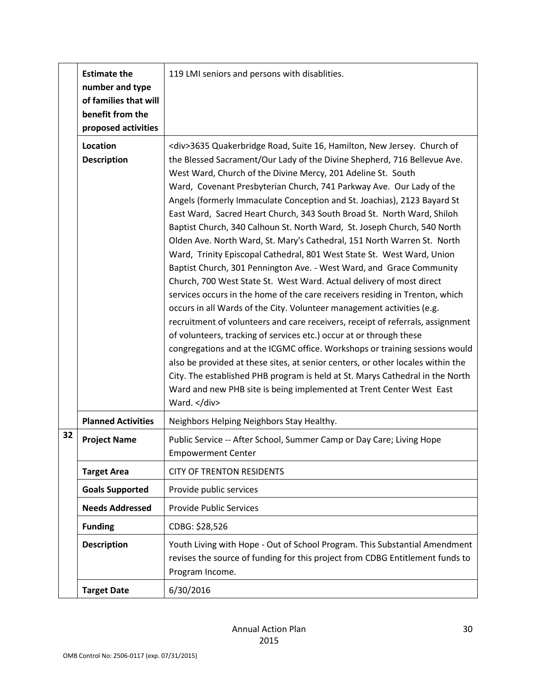|    | <b>Estimate the</b><br>number and type<br>of families that will<br>benefit from the<br>proposed activities | 119 LMI seniors and persons with disablities.                                                                                                                                                                                                                                                                                                                                                                                                                                                                                                                                                                                                                                                                                                                                                                                                                                                                                                                                                                                                                                                                                                                                                                                                                                                                                                                                                                                                                                                                      |
|----|------------------------------------------------------------------------------------------------------------|--------------------------------------------------------------------------------------------------------------------------------------------------------------------------------------------------------------------------------------------------------------------------------------------------------------------------------------------------------------------------------------------------------------------------------------------------------------------------------------------------------------------------------------------------------------------------------------------------------------------------------------------------------------------------------------------------------------------------------------------------------------------------------------------------------------------------------------------------------------------------------------------------------------------------------------------------------------------------------------------------------------------------------------------------------------------------------------------------------------------------------------------------------------------------------------------------------------------------------------------------------------------------------------------------------------------------------------------------------------------------------------------------------------------------------------------------------------------------------------------------------------------|
|    | Location<br><b>Description</b>                                                                             | <div>3635 Quakerbridge Road, Suite 16, Hamilton, New Jersey. Church of<br/>the Blessed Sacrament/Our Lady of the Divine Shepherd, 716 Bellevue Ave.<br/>West Ward, Church of the Divine Mercy, 201 Adeline St. South<br/>Ward, Covenant Presbyterian Church, 741 Parkway Ave. Our Lady of the<br/>Angels (formerly Immaculate Conception and St. Joachias), 2123 Bayard St<br/>East Ward, Sacred Heart Church, 343 South Broad St. North Ward, Shiloh<br/>Baptist Church, 340 Calhoun St. North Ward, St. Joseph Church, 540 North<br/>Olden Ave. North Ward, St. Mary's Cathedral, 151 North Warren St. North<br/>Ward, Trinity Episcopal Cathedral, 801 West State St. West Ward, Union<br/>Baptist Church, 301 Pennington Ave. - West Ward, and Grace Community<br/>Church, 700 West State St. West Ward. Actual delivery of most direct<br/>services occurs in the home of the care receivers residing in Trenton, which<br/>occurs in all Wards of the City. Volunteer management activities (e.g.<br/>recruitment of volunteers and care receivers, receipt of referrals, assignment<br/>of volunteers, tracking of services etc.) occur at or through these<br/>congregations and at the ICGMC office. Workshops or training sessions would<br/>also be provided at these sites, at senior centers, or other locales within the<br/>City. The established PHB program is held at St. Marys Cathedral in the North<br/>Ward and new PHB site is being implemented at Trent Center West East<br/>Ward. </div> |
|    | <b>Planned Activities</b>                                                                                  | Neighbors Helping Neighbors Stay Healthy.                                                                                                                                                                                                                                                                                                                                                                                                                                                                                                                                                                                                                                                                                                                                                                                                                                                                                                                                                                                                                                                                                                                                                                                                                                                                                                                                                                                                                                                                          |
| 32 | <b>Project Name</b>                                                                                        | Public Service -- After School, Summer Camp or Day Care; Living Hope<br><b>Empowerment Center</b>                                                                                                                                                                                                                                                                                                                                                                                                                                                                                                                                                                                                                                                                                                                                                                                                                                                                                                                                                                                                                                                                                                                                                                                                                                                                                                                                                                                                                  |
|    | <b>Target Area</b>                                                                                         | <b>CITY OF TRENTON RESIDENTS</b>                                                                                                                                                                                                                                                                                                                                                                                                                                                                                                                                                                                                                                                                                                                                                                                                                                                                                                                                                                                                                                                                                                                                                                                                                                                                                                                                                                                                                                                                                   |
|    | <b>Goals Supported</b>                                                                                     | Provide public services                                                                                                                                                                                                                                                                                                                                                                                                                                                                                                                                                                                                                                                                                                                                                                                                                                                                                                                                                                                                                                                                                                                                                                                                                                                                                                                                                                                                                                                                                            |
|    | <b>Needs Addressed</b>                                                                                     | <b>Provide Public Services</b>                                                                                                                                                                                                                                                                                                                                                                                                                                                                                                                                                                                                                                                                                                                                                                                                                                                                                                                                                                                                                                                                                                                                                                                                                                                                                                                                                                                                                                                                                     |
|    | <b>Funding</b>                                                                                             | CDBG: \$28,526                                                                                                                                                                                                                                                                                                                                                                                                                                                                                                                                                                                                                                                                                                                                                                                                                                                                                                                                                                                                                                                                                                                                                                                                                                                                                                                                                                                                                                                                                                     |
|    | <b>Description</b>                                                                                         | Youth Living with Hope - Out of School Program. This Substantial Amendment<br>revises the source of funding for this project from CDBG Entitlement funds to<br>Program Income.                                                                                                                                                                                                                                                                                                                                                                                                                                                                                                                                                                                                                                                                                                                                                                                                                                                                                                                                                                                                                                                                                                                                                                                                                                                                                                                                     |
|    | <b>Target Date</b>                                                                                         | 6/30/2016                                                                                                                                                                                                                                                                                                                                                                                                                                                                                                                                                                                                                                                                                                                                                                                                                                                                                                                                                                                                                                                                                                                                                                                                                                                                                                                                                                                                                                                                                                          |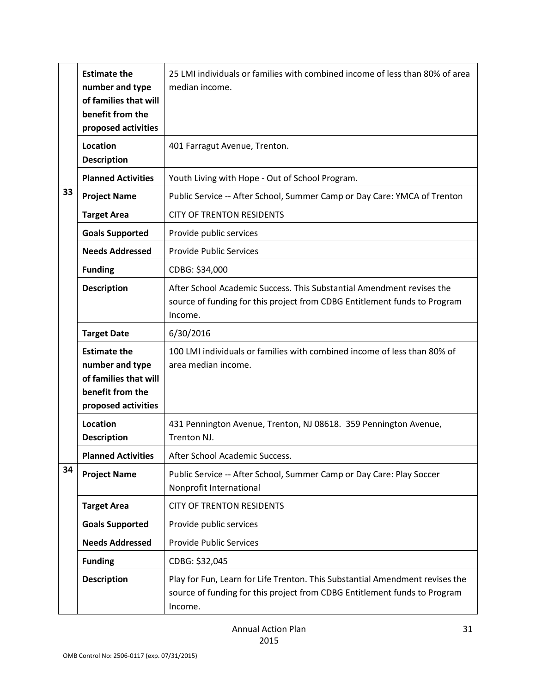|    | <b>Estimate the</b><br>number and type<br>of families that will<br>benefit from the<br>proposed activities | 25 LMI individuals or families with combined income of less than 80% of area<br>median income.                                                                       |
|----|------------------------------------------------------------------------------------------------------------|----------------------------------------------------------------------------------------------------------------------------------------------------------------------|
|    | Location<br><b>Description</b>                                                                             | 401 Farragut Avenue, Trenton.                                                                                                                                        |
|    | <b>Planned Activities</b>                                                                                  | Youth Living with Hope - Out of School Program.                                                                                                                      |
| 33 | <b>Project Name</b>                                                                                        | Public Service -- After School, Summer Camp or Day Care: YMCA of Trenton                                                                                             |
|    | <b>Target Area</b>                                                                                         | <b>CITY OF TRENTON RESIDENTS</b>                                                                                                                                     |
|    | <b>Goals Supported</b>                                                                                     | Provide public services                                                                                                                                              |
|    | <b>Needs Addressed</b>                                                                                     | <b>Provide Public Services</b>                                                                                                                                       |
|    | <b>Funding</b>                                                                                             | CDBG: \$34,000                                                                                                                                                       |
|    | <b>Description</b>                                                                                         | After School Academic Success. This Substantial Amendment revises the<br>source of funding for this project from CDBG Entitlement funds to Program<br>Income.        |
|    | <b>Target Date</b>                                                                                         | 6/30/2016                                                                                                                                                            |
|    | <b>Estimate the</b><br>number and type<br>of families that will<br>benefit from the<br>proposed activities | 100 LMI individuals or families with combined income of less than 80% of<br>area median income.                                                                      |
|    | Location<br><b>Description</b>                                                                             | 431 Pennington Avenue, Trenton, NJ 08618. 359 Pennington Avenue,<br>Trenton NJ.                                                                                      |
|    | <b>Planned Activities</b>                                                                                  | After School Academic Success.                                                                                                                                       |
| 34 | <b>Project Name</b>                                                                                        | Public Service -- After School, Summer Camp or Day Care: Play Soccer<br>Nonprofit International                                                                      |
|    | <b>Target Area</b>                                                                                         | <b>CITY OF TRENTON RESIDENTS</b>                                                                                                                                     |
|    | <b>Goals Supported</b>                                                                                     | Provide public services                                                                                                                                              |
|    | <b>Needs Addressed</b>                                                                                     | <b>Provide Public Services</b>                                                                                                                                       |
|    | <b>Funding</b>                                                                                             | CDBG: \$32,045                                                                                                                                                       |
|    | <b>Description</b>                                                                                         | Play for Fun, Learn for Life Trenton. This Substantial Amendment revises the<br>source of funding for this project from CDBG Entitlement funds to Program<br>Income. |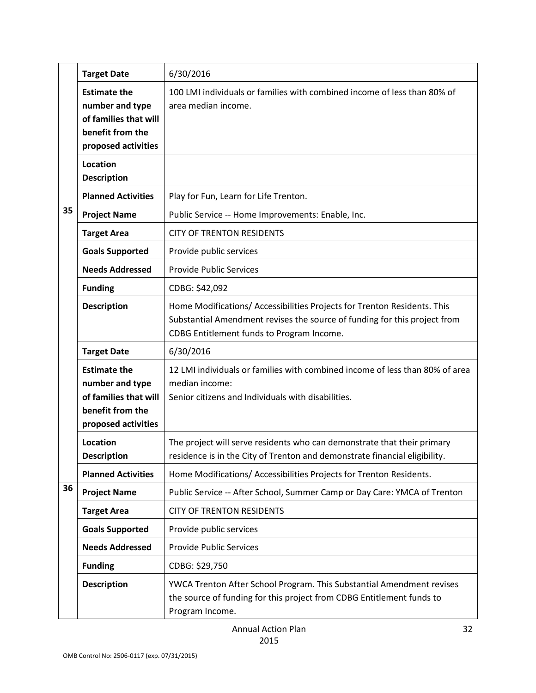|    | <b>Target Date</b>                                                                                         | 6/30/2016                                                                                                                                                                                          |
|----|------------------------------------------------------------------------------------------------------------|----------------------------------------------------------------------------------------------------------------------------------------------------------------------------------------------------|
|    | <b>Estimate the</b><br>number and type<br>of families that will<br>benefit from the<br>proposed activities | 100 LMI individuals or families with combined income of less than 80% of<br>area median income.                                                                                                    |
|    | Location<br><b>Description</b>                                                                             |                                                                                                                                                                                                    |
|    | <b>Planned Activities</b>                                                                                  | Play for Fun, Learn for Life Trenton.                                                                                                                                                              |
| 35 | <b>Project Name</b>                                                                                        | Public Service -- Home Improvements: Enable, Inc.                                                                                                                                                  |
|    | <b>Target Area</b>                                                                                         | <b>CITY OF TRENTON RESIDENTS</b>                                                                                                                                                                   |
|    | <b>Goals Supported</b>                                                                                     | Provide public services                                                                                                                                                                            |
|    | <b>Needs Addressed</b>                                                                                     | <b>Provide Public Services</b>                                                                                                                                                                     |
|    | <b>Funding</b>                                                                                             | CDBG: \$42,092                                                                                                                                                                                     |
|    | <b>Description</b>                                                                                         | Home Modifications/ Accessibilities Projects for Trenton Residents. This<br>Substantial Amendment revises the source of funding for this project from<br>CDBG Entitlement funds to Program Income. |
|    | <b>Target Date</b>                                                                                         | 6/30/2016                                                                                                                                                                                          |
|    | <b>Estimate the</b><br>number and type<br>of families that will<br>benefit from the<br>proposed activities | 12 LMI individuals or families with combined income of less than 80% of area<br>median income:<br>Senior citizens and Individuals with disabilities.                                               |
|    | Location<br><b>Description</b>                                                                             | The project will serve residents who can demonstrate that their primary<br>residence is in the City of Trenton and demonstrate financial eligibility.                                              |
|    | <b>Planned Activities</b>                                                                                  | Home Modifications/ Accessibilities Projects for Trenton Residents.                                                                                                                                |
| 36 | <b>Project Name</b>                                                                                        | Public Service -- After School, Summer Camp or Day Care: YMCA of Trenton                                                                                                                           |
|    | <b>Target Area</b>                                                                                         | <b>CITY OF TRENTON RESIDENTS</b>                                                                                                                                                                   |
|    | <b>Goals Supported</b>                                                                                     | Provide public services                                                                                                                                                                            |
|    | <b>Needs Addressed</b>                                                                                     | <b>Provide Public Services</b>                                                                                                                                                                     |
|    | <b>Funding</b>                                                                                             | CDBG: \$29,750                                                                                                                                                                                     |
|    | <b>Description</b>                                                                                         | YWCA Trenton After School Program. This Substantial Amendment revises<br>the source of funding for this project from CDBG Entitlement funds to<br>Program Income.                                  |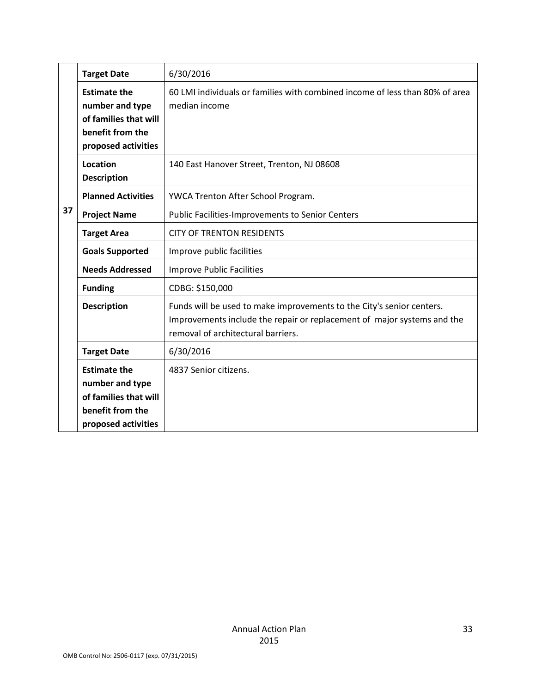|    | <b>Target Date</b>                                                                                         | 6/30/2016                                                                                                                                                                              |
|----|------------------------------------------------------------------------------------------------------------|----------------------------------------------------------------------------------------------------------------------------------------------------------------------------------------|
|    | <b>Estimate the</b><br>number and type<br>of families that will<br>benefit from the<br>proposed activities | 60 LMI individuals or families with combined income of less than 80% of area<br>median income                                                                                          |
|    | Location<br><b>Description</b>                                                                             | 140 East Hanover Street, Trenton, NJ 08608                                                                                                                                             |
|    | <b>Planned Activities</b>                                                                                  | YWCA Trenton After School Program.                                                                                                                                                     |
| 37 | <b>Project Name</b>                                                                                        | Public Facilities-Improvements to Senior Centers                                                                                                                                       |
|    | <b>Target Area</b>                                                                                         | <b>CITY OF TRENTON RESIDENTS</b>                                                                                                                                                       |
|    | <b>Goals Supported</b>                                                                                     | Improve public facilities                                                                                                                                                              |
|    | <b>Needs Addressed</b>                                                                                     | <b>Improve Public Facilities</b>                                                                                                                                                       |
|    | <b>Funding</b>                                                                                             | CDBG: \$150,000                                                                                                                                                                        |
|    | <b>Description</b>                                                                                         | Funds will be used to make improvements to the City's senior centers.<br>Improvements include the repair or replacement of major systems and the<br>removal of architectural barriers. |
|    | <b>Target Date</b>                                                                                         | 6/30/2016                                                                                                                                                                              |
|    | <b>Estimate the</b><br>number and type<br>of families that will<br>benefit from the<br>proposed activities | 4837 Senior citizens.                                                                                                                                                                  |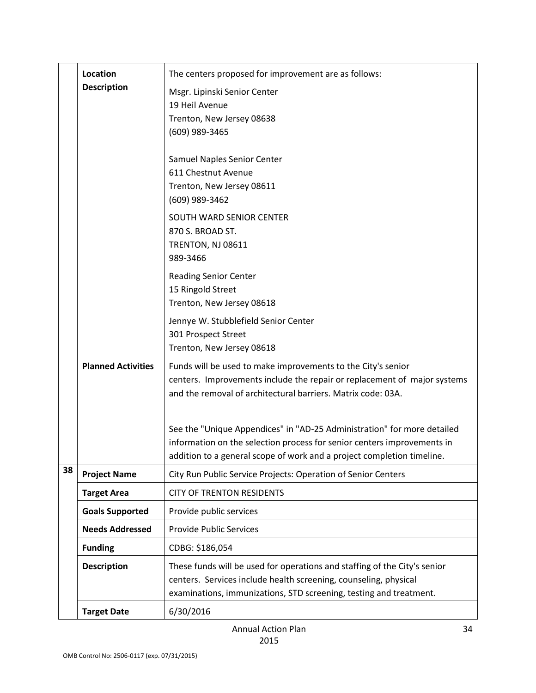|    | Location                  | The centers proposed for improvement are as follows:                                                                                              |
|----|---------------------------|---------------------------------------------------------------------------------------------------------------------------------------------------|
|    | <b>Description</b>        | Msgr. Lipinski Senior Center                                                                                                                      |
|    |                           | 19 Heil Avenue                                                                                                                                    |
|    |                           | Trenton, New Jersey 08638                                                                                                                         |
|    |                           | (609) 989-3465                                                                                                                                    |
|    |                           | Samuel Naples Senior Center                                                                                                                       |
|    |                           | 611 Chestnut Avenue                                                                                                                               |
|    |                           | Trenton, New Jersey 08611                                                                                                                         |
|    |                           | (609) 989-3462                                                                                                                                    |
|    |                           | SOUTH WARD SENIOR CENTER                                                                                                                          |
|    |                           | 870 S. BROAD ST.                                                                                                                                  |
|    |                           | TRENTON, NJ 08611<br>989-3466                                                                                                                     |
|    |                           |                                                                                                                                                   |
|    |                           | <b>Reading Senior Center</b><br>15 Ringold Street                                                                                                 |
|    |                           | Trenton, New Jersey 08618                                                                                                                         |
|    |                           | Jennye W. Stubblefield Senior Center                                                                                                              |
|    |                           | 301 Prospect Street                                                                                                                               |
|    |                           | Trenton, New Jersey 08618                                                                                                                         |
|    | <b>Planned Activities</b> | Funds will be used to make improvements to the City's senior                                                                                      |
|    |                           | centers. Improvements include the repair or replacement of major systems                                                                          |
|    |                           | and the removal of architectural barriers. Matrix code: 03A.                                                                                      |
|    |                           |                                                                                                                                                   |
|    |                           | See the "Unique Appendices" in "AD-25 Administration" for more detailed                                                                           |
|    |                           | information on the selection process for senior centers improvements in<br>addition to a general scope of work and a project completion timeline. |
| 38 | <b>Project Name</b>       | City Run Public Service Projects: Operation of Senior Centers                                                                                     |
|    |                           | <b>CITY OF TRENTON RESIDENTS</b>                                                                                                                  |
|    | <b>Target Area</b>        |                                                                                                                                                   |
|    | <b>Goals Supported</b>    | Provide public services                                                                                                                           |
|    | <b>Needs Addressed</b>    | <b>Provide Public Services</b>                                                                                                                    |
|    | <b>Funding</b>            | CDBG: \$186,054                                                                                                                                   |
|    | <b>Description</b>        | These funds will be used for operations and staffing of the City's senior                                                                         |
|    |                           | centers. Services include health screening, counseling, physical                                                                                  |
|    |                           | examinations, immunizations, STD screening, testing and treatment.                                                                                |
|    | <b>Target Date</b>        | 6/30/2016                                                                                                                                         |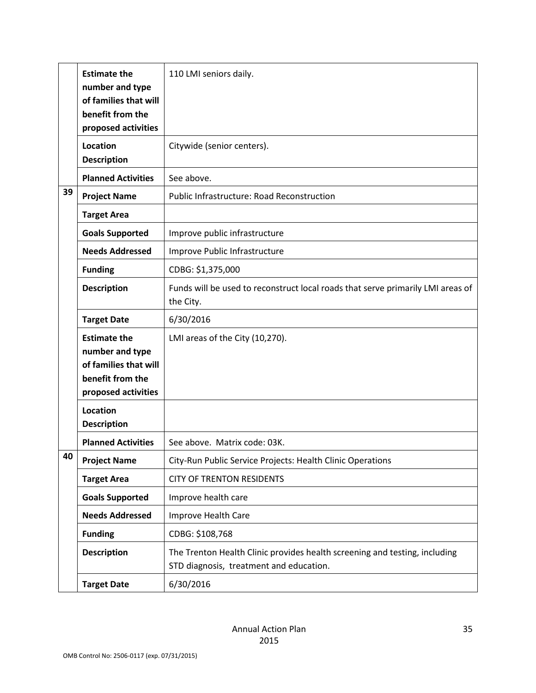|    | <b>Estimate the</b><br>number and type<br>of families that will<br>benefit from the<br>proposed activities | 110 LMI seniors daily.                                                                                                |
|----|------------------------------------------------------------------------------------------------------------|-----------------------------------------------------------------------------------------------------------------------|
|    | Location<br><b>Description</b>                                                                             | Citywide (senior centers).                                                                                            |
|    | <b>Planned Activities</b>                                                                                  | See above.                                                                                                            |
| 39 | <b>Project Name</b>                                                                                        | <b>Public Infrastructure: Road Reconstruction</b>                                                                     |
|    | <b>Target Area</b>                                                                                         |                                                                                                                       |
|    | <b>Goals Supported</b>                                                                                     | Improve public infrastructure                                                                                         |
|    | <b>Needs Addressed</b>                                                                                     | Improve Public Infrastructure                                                                                         |
|    | <b>Funding</b>                                                                                             | CDBG: \$1,375,000                                                                                                     |
|    | <b>Description</b>                                                                                         | Funds will be used to reconstruct local roads that serve primarily LMI areas of<br>the City.                          |
|    | <b>Target Date</b>                                                                                         | 6/30/2016                                                                                                             |
|    | <b>Estimate the</b><br>number and type<br>of families that will<br>benefit from the<br>proposed activities | LMI areas of the City (10,270).                                                                                       |
|    | <b>Location</b><br><b>Description</b>                                                                      |                                                                                                                       |
|    | <b>Planned Activities</b>                                                                                  | See above. Matrix code: 03K.                                                                                          |
| 40 | <b>Project Name</b>                                                                                        | City-Run Public Service Projects: Health Clinic Operations                                                            |
|    | <b>Target Area</b>                                                                                         | <b>CITY OF TRENTON RESIDENTS</b>                                                                                      |
|    | <b>Goals Supported</b>                                                                                     | Improve health care                                                                                                   |
|    | <b>Needs Addressed</b>                                                                                     | Improve Health Care                                                                                                   |
|    | <b>Funding</b>                                                                                             | CDBG: \$108,768                                                                                                       |
|    | <b>Description</b>                                                                                         | The Trenton Health Clinic provides health screening and testing, including<br>STD diagnosis, treatment and education. |
|    | <b>Target Date</b>                                                                                         | 6/30/2016                                                                                                             |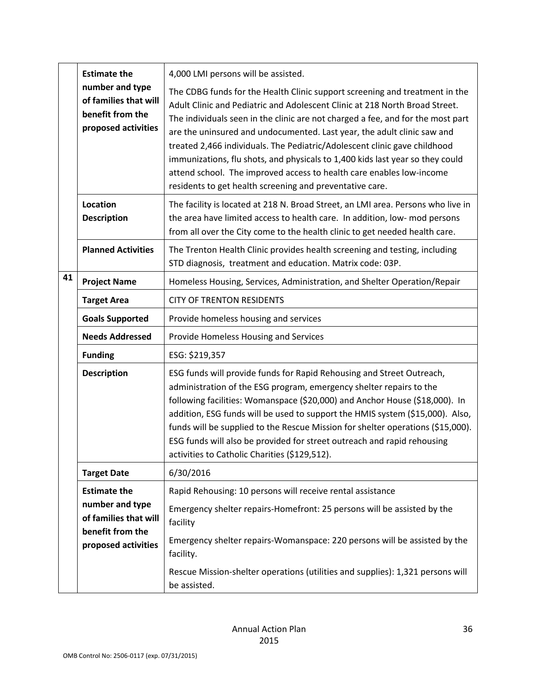|    | <b>Estimate the</b>                                                                 | 4,000 LMI persons will be assisted.                                                                                                                                                                                                                                                                                                                                                                                                                                                                                                                                                                                        |
|----|-------------------------------------------------------------------------------------|----------------------------------------------------------------------------------------------------------------------------------------------------------------------------------------------------------------------------------------------------------------------------------------------------------------------------------------------------------------------------------------------------------------------------------------------------------------------------------------------------------------------------------------------------------------------------------------------------------------------------|
|    | number and type<br>of families that will<br>benefit from the<br>proposed activities | The CDBG funds for the Health Clinic support screening and treatment in the<br>Adult Clinic and Pediatric and Adolescent Clinic at 218 North Broad Street.<br>The individuals seen in the clinic are not charged a fee, and for the most part<br>are the uninsured and undocumented. Last year, the adult clinic saw and<br>treated 2,466 individuals. The Pediatric/Adolescent clinic gave childhood<br>immunizations, flu shots, and physicals to 1,400 kids last year so they could<br>attend school. The improved access to health care enables low-income<br>residents to get health screening and preventative care. |
|    | Location<br><b>Description</b>                                                      | The facility is located at 218 N. Broad Street, an LMI area. Persons who live in<br>the area have limited access to health care. In addition, low- mod persons<br>from all over the City come to the health clinic to get needed health care.                                                                                                                                                                                                                                                                                                                                                                              |
|    | <b>Planned Activities</b>                                                           | The Trenton Health Clinic provides health screening and testing, including<br>STD diagnosis, treatment and education. Matrix code: 03P.                                                                                                                                                                                                                                                                                                                                                                                                                                                                                    |
| 41 | <b>Project Name</b>                                                                 | Homeless Housing, Services, Administration, and Shelter Operation/Repair                                                                                                                                                                                                                                                                                                                                                                                                                                                                                                                                                   |
|    | <b>Target Area</b>                                                                  | <b>CITY OF TRENTON RESIDENTS</b>                                                                                                                                                                                                                                                                                                                                                                                                                                                                                                                                                                                           |
|    | <b>Goals Supported</b>                                                              | Provide homeless housing and services                                                                                                                                                                                                                                                                                                                                                                                                                                                                                                                                                                                      |
|    | <b>Needs Addressed</b>                                                              | Provide Homeless Housing and Services                                                                                                                                                                                                                                                                                                                                                                                                                                                                                                                                                                                      |
|    | <b>Funding</b>                                                                      | ESG: \$219,357                                                                                                                                                                                                                                                                                                                                                                                                                                                                                                                                                                                                             |
|    | <b>Description</b>                                                                  | ESG funds will provide funds for Rapid Rehousing and Street Outreach,<br>administration of the ESG program, emergency shelter repairs to the<br>following facilities: Womanspace (\$20,000) and Anchor House (\$18,000). In<br>addition, ESG funds will be used to support the HMIS system (\$15,000). Also,<br>funds will be supplied to the Rescue Mission for shelter operations (\$15,000).<br>ESG funds will also be provided for street outreach and rapid rehousing<br>activities to Catholic Charities (\$129,512).                                                                                                |
|    | <b>Target Date</b>                                                                  | 6/30/2016                                                                                                                                                                                                                                                                                                                                                                                                                                                                                                                                                                                                                  |
|    | <b>Estimate the</b>                                                                 | Rapid Rehousing: 10 persons will receive rental assistance                                                                                                                                                                                                                                                                                                                                                                                                                                                                                                                                                                 |
|    | number and type<br>of families that will<br>benefit from the<br>proposed activities | Emergency shelter repairs-Homefront: 25 persons will be assisted by the<br>facility                                                                                                                                                                                                                                                                                                                                                                                                                                                                                                                                        |
|    |                                                                                     | Emergency shelter repairs-Womanspace: 220 persons will be assisted by the<br>facility.                                                                                                                                                                                                                                                                                                                                                                                                                                                                                                                                     |
|    |                                                                                     | Rescue Mission-shelter operations (utilities and supplies): 1,321 persons will<br>be assisted.                                                                                                                                                                                                                                                                                                                                                                                                                                                                                                                             |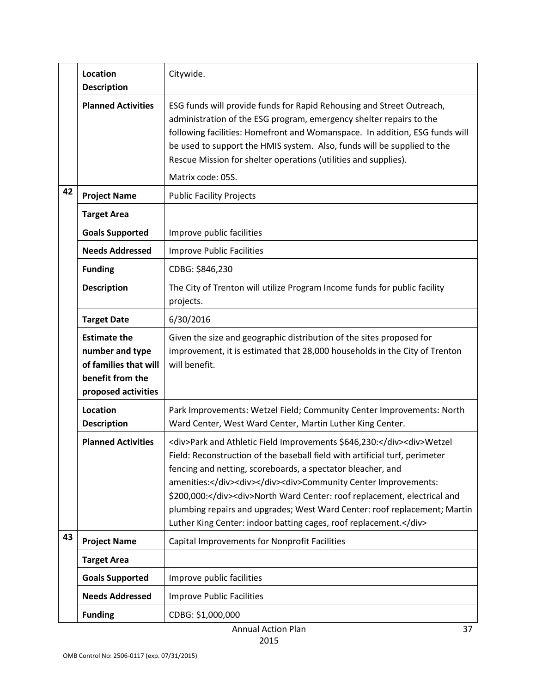|    | Location<br><b>Description</b>                                                                             | Citywide.                                                                                                                                                                                                                                                                                                                                                                                                                                                                                                                               |
|----|------------------------------------------------------------------------------------------------------------|-----------------------------------------------------------------------------------------------------------------------------------------------------------------------------------------------------------------------------------------------------------------------------------------------------------------------------------------------------------------------------------------------------------------------------------------------------------------------------------------------------------------------------------------|
|    | <b>Planned Activities</b>                                                                                  | ESG funds will provide funds for Rapid Rehousing and Street Outreach,<br>administration of the ESG program, emergency shelter repairs to the<br>following facilities: Homefront and Womanspace. In addition, ESG funds will<br>be used to support the HMIS system. Also, funds will be supplied to the<br>Rescue Mission for shelter operations (utilities and supplies).<br>Matrix code: 05S.                                                                                                                                          |
| 42 | <b>Project Name</b>                                                                                        | <b>Public Facility Projects</b>                                                                                                                                                                                                                                                                                                                                                                                                                                                                                                         |
|    | <b>Target Area</b>                                                                                         |                                                                                                                                                                                                                                                                                                                                                                                                                                                                                                                                         |
|    | <b>Goals Supported</b>                                                                                     | Improve public facilities                                                                                                                                                                                                                                                                                                                                                                                                                                                                                                               |
|    | <b>Needs Addressed</b>                                                                                     | <b>Improve Public Facilities</b>                                                                                                                                                                                                                                                                                                                                                                                                                                                                                                        |
|    | <b>Funding</b>                                                                                             | CDBG: \$846,230                                                                                                                                                                                                                                                                                                                                                                                                                                                                                                                         |
|    | <b>Description</b>                                                                                         | The City of Trenton will utilize Program Income funds for public facility<br>projects.                                                                                                                                                                                                                                                                                                                                                                                                                                                  |
|    | <b>Target Date</b>                                                                                         | 6/30/2016                                                                                                                                                                                                                                                                                                                                                                                                                                                                                                                               |
|    | <b>Estimate the</b><br>number and type<br>of families that will<br>benefit from the<br>proposed activities | Given the size and geographic distribution of the sites proposed for<br>improvement, it is estimated that 28,000 households in the City of Trenton<br>will benefit.                                                                                                                                                                                                                                                                                                                                                                     |
|    | Location<br><b>Description</b>                                                                             | Park Improvements: Wetzel Field; Community Center Improvements: North<br>Ward Center, West Ward Center, Martin Luther King Center.                                                                                                                                                                                                                                                                                                                                                                                                      |
|    | <b>Planned Activities</b>                                                                                  | <div>Park and Athletic Field Improvements \$646,230:</div> <div>Wetzel<br/>Field: Reconstruction of the baseball field with artificial turf, perimeter<br/>fencing and netting, scoreboards, a spectator bleacher, and<br/>amenities:</div> <div></div> <div><div>Community Center Improvements:<br/>\$200,000:</div><div>North Ward Center: roof replacement, electrical and<br/>plumbing repairs and upgrades; West Ward Center: roof replacement; Martin<br/>Luther King Center: indoor batting cages, roof replacement.</div></div> |
| 43 | <b>Project Name</b>                                                                                        | Capital Improvements for Nonprofit Facilities                                                                                                                                                                                                                                                                                                                                                                                                                                                                                           |
|    | <b>Target Area</b>                                                                                         |                                                                                                                                                                                                                                                                                                                                                                                                                                                                                                                                         |
|    | <b>Goals Supported</b>                                                                                     | Improve public facilities                                                                                                                                                                                                                                                                                                                                                                                                                                                                                                               |
|    | <b>Needs Addressed</b>                                                                                     | <b>Improve Public Facilities</b>                                                                                                                                                                                                                                                                                                                                                                                                                                                                                                        |
|    | <b>Funding</b>                                                                                             | CDBG: \$1,000,000                                                                                                                                                                                                                                                                                                                                                                                                                                                                                                                       |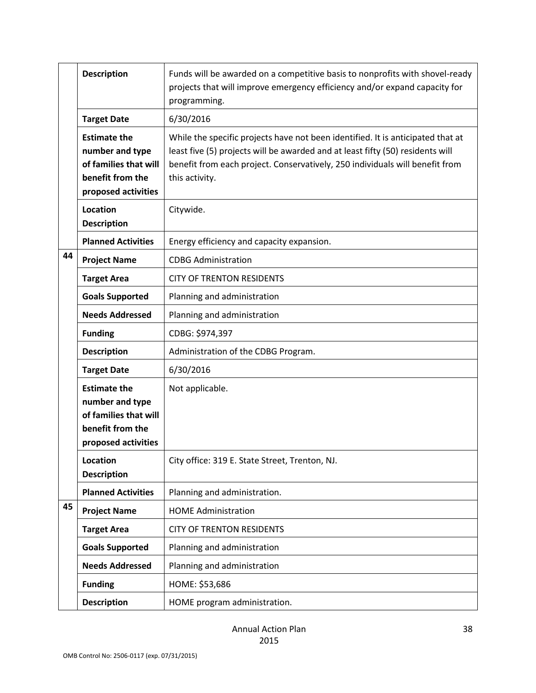|    | <b>Description</b>                                                                                         | Funds will be awarded on a competitive basis to nonprofits with shovel-ready<br>projects that will improve emergency efficiency and/or expand capacity for<br>programming.                                                                                          |
|----|------------------------------------------------------------------------------------------------------------|---------------------------------------------------------------------------------------------------------------------------------------------------------------------------------------------------------------------------------------------------------------------|
|    | <b>Target Date</b>                                                                                         | 6/30/2016                                                                                                                                                                                                                                                           |
|    | <b>Estimate the</b><br>number and type<br>of families that will<br>benefit from the<br>proposed activities | While the specific projects have not been identified. It is anticipated that at<br>least five (5) projects will be awarded and at least fifty (50) residents will<br>benefit from each project. Conservatively, 250 individuals will benefit from<br>this activity. |
|    | Location<br><b>Description</b>                                                                             | Citywide.                                                                                                                                                                                                                                                           |
|    | <b>Planned Activities</b>                                                                                  | Energy efficiency and capacity expansion.                                                                                                                                                                                                                           |
| 44 | <b>Project Name</b>                                                                                        | <b>CDBG Administration</b>                                                                                                                                                                                                                                          |
|    | <b>Target Area</b>                                                                                         | <b>CITY OF TRENTON RESIDENTS</b>                                                                                                                                                                                                                                    |
|    | <b>Goals Supported</b>                                                                                     | Planning and administration                                                                                                                                                                                                                                         |
|    | <b>Needs Addressed</b>                                                                                     | Planning and administration                                                                                                                                                                                                                                         |
|    | <b>Funding</b>                                                                                             | CDBG: \$974,397                                                                                                                                                                                                                                                     |
|    | <b>Description</b>                                                                                         | Administration of the CDBG Program.                                                                                                                                                                                                                                 |
|    | <b>Target Date</b>                                                                                         | 6/30/2016                                                                                                                                                                                                                                                           |
|    | <b>Estimate the</b><br>number and type<br>of families that will<br>benefit from the<br>proposed activities | Not applicable.                                                                                                                                                                                                                                                     |
|    | Location<br><b>Description</b>                                                                             | City office: 319 E. State Street, Trenton, NJ.                                                                                                                                                                                                                      |
|    | <b>Planned Activities</b>                                                                                  | Planning and administration.                                                                                                                                                                                                                                        |
| 45 | <b>Project Name</b>                                                                                        | <b>HOME Administration</b>                                                                                                                                                                                                                                          |
|    | <b>Target Area</b>                                                                                         | <b>CITY OF TRENTON RESIDENTS</b>                                                                                                                                                                                                                                    |
|    | <b>Goals Supported</b>                                                                                     | Planning and administration                                                                                                                                                                                                                                         |
|    | <b>Needs Addressed</b>                                                                                     | Planning and administration                                                                                                                                                                                                                                         |
|    | <b>Funding</b>                                                                                             | HOME: \$53,686                                                                                                                                                                                                                                                      |
|    | <b>Description</b>                                                                                         | HOME program administration.                                                                                                                                                                                                                                        |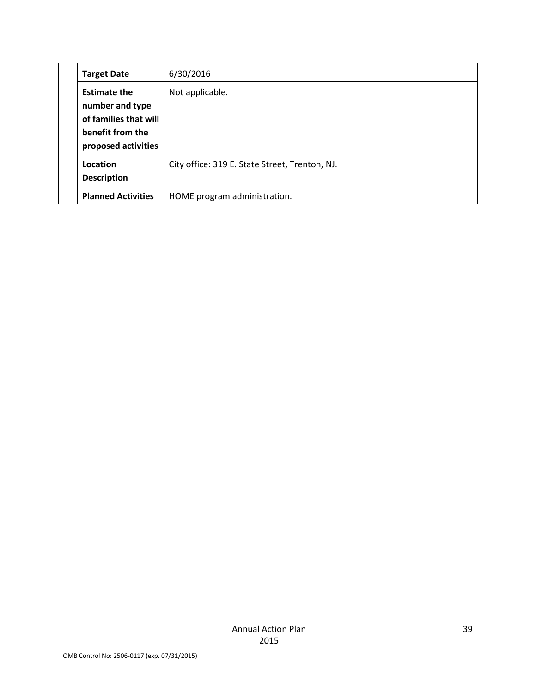| <b>Target Date</b>                                                                                         | 6/30/2016                                      |
|------------------------------------------------------------------------------------------------------------|------------------------------------------------|
| <b>Estimate the</b><br>number and type<br>of families that will<br>benefit from the<br>proposed activities | Not applicable.                                |
| Location<br><b>Description</b>                                                                             | City office: 319 E. State Street, Trenton, NJ. |
| <b>Planned Activities</b>                                                                                  | HOME program administration.                   |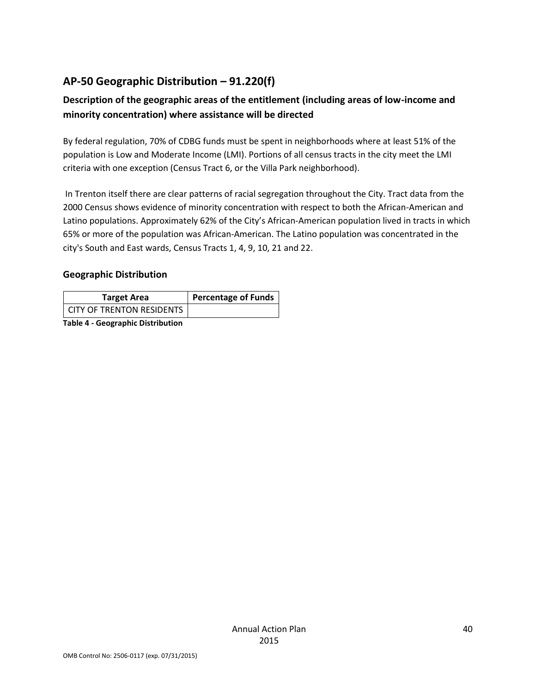# **AP-50 Geographic Distribution – 91.220(f)**

## **Description of the geographic areas of the entitlement (including areas of low-income and minority concentration) where assistance will be directed**

By federal regulation, 70% of CDBG funds must be spent in neighborhoods where at least 51% of the population is Low and Moderate Income (LMI). Portions of all census tracts in the city meet the LMI criteria with one exception (Census Tract 6, or the Villa Park neighborhood).

In Trenton itself there are clear patterns of racial segregation throughout the City. Tract data from the 2000 Census shows evidence of minority concentration with respect to both the African-American and Latino populations. Approximately 62% of the City's African-American population lived in tracts in which 65% or more of the population was African-American. The Latino population was concentrated in the city's South and East wards, Census Tracts 1, 4, 9, 10, 21 and 22.

### **Geographic Distribution**

| <b>Target Area</b>        | <b>Percentage of Funds</b> |
|---------------------------|----------------------------|
| CITY OF TRENTON RESIDENTS |                            |

**Table 4 - Geographic Distribution**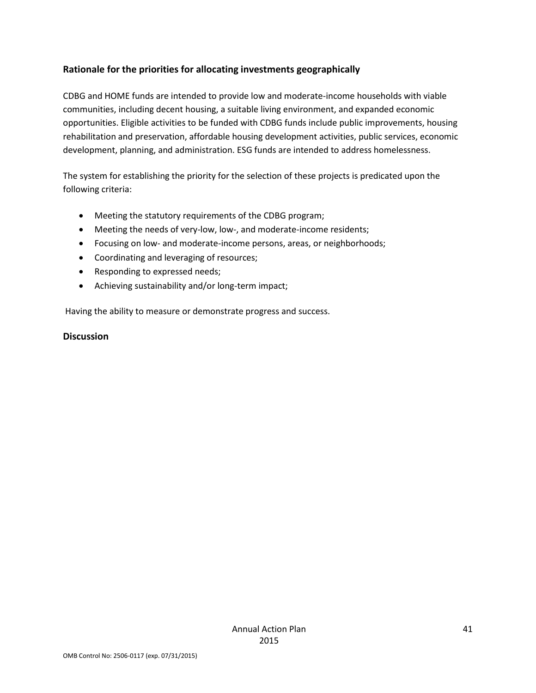### **Rationale for the priorities for allocating investments geographically**

CDBG and HOME funds are intended to provide low and moderate-income households with viable communities, including decent housing, a suitable living environment, and expanded economic opportunities. Eligible activities to be funded with CDBG funds include public improvements, housing rehabilitation and preservation, affordable housing development activities, public services, economic development, planning, and administration. ESG funds are intended to address homelessness.

The system for establishing the priority for the selection of these projects is predicated upon the following criteria:

- Meeting the statutory requirements of the CDBG program;
- Meeting the needs of very-low, low-, and moderate-income residents;
- Focusing on low- and moderate-income persons, areas, or neighborhoods;
- Coordinating and leveraging of resources;
- Responding to expressed needs;
- Achieving sustainability and/or long-term impact;

Having the ability to measure or demonstrate progress and success.

#### **Discussion**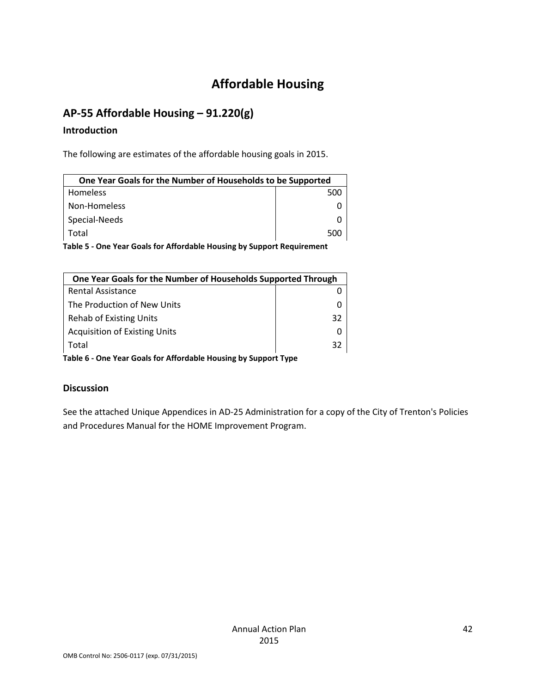# **Affordable Housing**

# **AP-55 Affordable Housing – 91.220(g)**

### **Introduction**

The following are estimates of the affordable housing goals in 2015.

| One Year Goals for the Number of Households to be Supported |     |
|-------------------------------------------------------------|-----|
| Homeless                                                    | 500 |
| Non-Homeless                                                |     |
| Special-Needs                                               |     |
| Total                                                       | 500 |

**Table 5 - One Year Goals for Affordable Housing by Support Requirement**

| One Year Goals for the Number of Households Supported Through   |    |  |
|-----------------------------------------------------------------|----|--|
| <b>Rental Assistance</b>                                        |    |  |
| The Production of New Units                                     |    |  |
| <b>Rehab of Existing Units</b>                                  | 32 |  |
| <b>Acquisition of Existing Units</b>                            |    |  |
| Total                                                           | 32 |  |
| Table 6 - One Year Goals for Affordable Housing by Support Type |    |  |

### **Discussion**

See the attached Unique Appendices in AD-25 Administration for a copy of the City of Trenton's Policies and Procedures Manual for the HOME Improvement Program.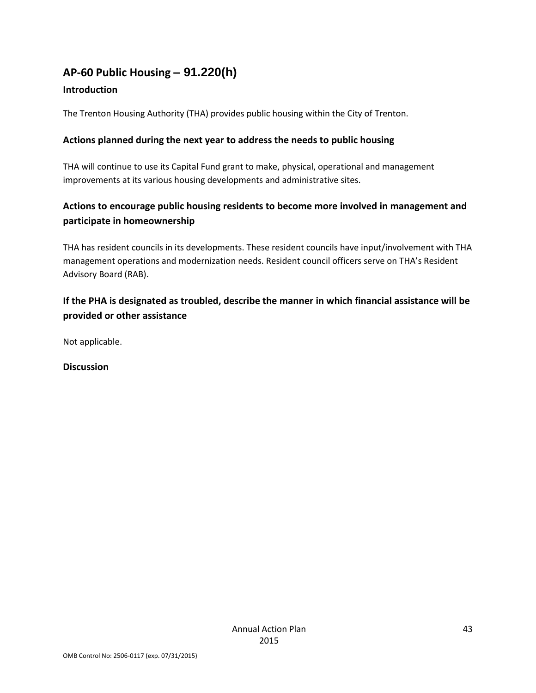# **AP-60 Public Housing** *–* **91.220(h)**

### **Introduction**

The Trenton Housing Authority (THA) provides public housing within the City of Trenton.

### **Actions planned during the next year to address the needs to public housing**

THA will continue to use its Capital Fund grant to make, physical, operational and management improvements at its various housing developments and administrative sites.

### **Actions to encourage public housing residents to become more involved in management and participate in homeownership**

THA has resident councils in its developments. These resident councils have input/involvement with THA management operations and modernization needs. Resident council officers serve on THA's Resident Advisory Board (RAB).

### **If the PHA is designated as troubled, describe the manner in which financial assistance will be provided or other assistance**

Not applicable.

**Discussion**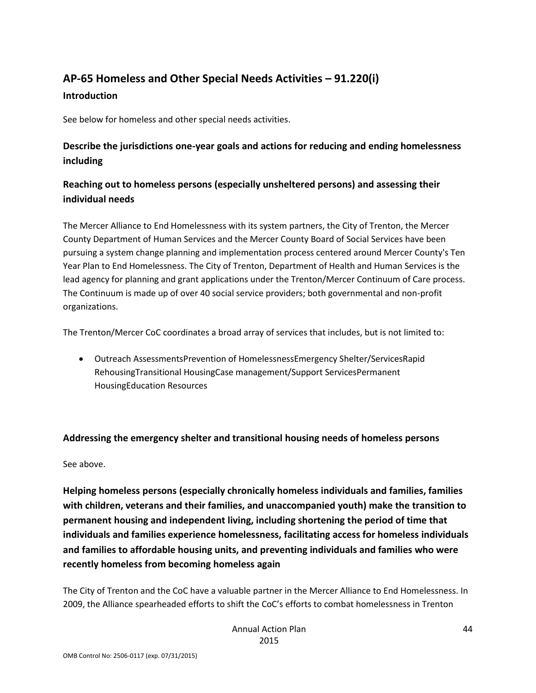# **AP-65 Homeless and Other Special Needs Activities – 91.220(i) Introduction**

See below for homeless and other special needs activities.

### **Describe the jurisdictions one-year goals and actions for reducing and ending homelessness including**

### **Reaching out to homeless persons (especially unsheltered persons) and assessing their individual needs**

The Mercer Alliance to End Homelessness with its system partners, the City of Trenton, the Mercer County Department of Human Services and the Mercer County Board of Social Services have been pursuing a system change planning and implementation process centered around Mercer County's Ten Year Plan to End Homelessness. The City of Trenton, Department of Health and Human Services is the lead agency for planning and grant applications under the Trenton/Mercer Continuum of Care process. The Continuum is made up of over 40 social service providers; both governmental and non-profit organizations.

The Trenton/Mercer CoC coordinates a broad array of services that includes, but is not limited to:

 Outreach AssessmentsPrevention of HomelessnessEmergency Shelter/ServicesRapid RehousingTransitional HousingCase management/Support ServicesPermanent HousingEducation Resources

#### **Addressing the emergency shelter and transitional housing needs of homeless persons**

#### See above.

**Helping homeless persons (especially chronically homeless individuals and families, families with children, veterans and their families, and unaccompanied youth) make the transition to permanent housing and independent living, including shortening the period of time that individuals and families experience homelessness, facilitating access for homeless individuals and families to affordable housing units, and preventing individuals and families who were recently homeless from becoming homeless again**

The City of Trenton and the CoC have a valuable partner in the Mercer Alliance to End Homelessness. In 2009, the Alliance spearheaded efforts to shift the CoC's efforts to combat homelessness in Trenton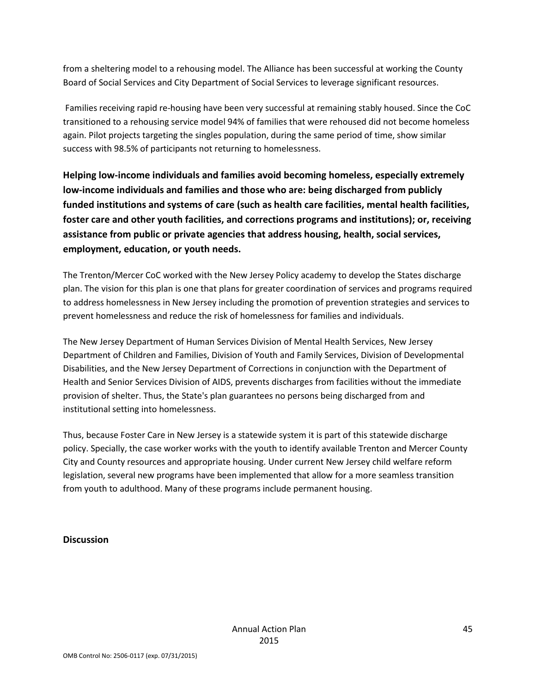from a sheltering model to a rehousing model. The Alliance has been successful at working the County Board of Social Services and City Department of Social Services to leverage significant resources.

Families receiving rapid re-housing have been very successful at remaining stably housed. Since the CoC transitioned to a rehousing service model 94% of families that were rehoused did not become homeless again. Pilot projects targeting the singles population, during the same period of time, show similar success with 98.5% of participants not returning to homelessness.

**Helping low-income individuals and families avoid becoming homeless, especially extremely low-income individuals and families and those who are: being discharged from publicly funded institutions and systems of care (such as health care facilities, mental health facilities, foster care and other youth facilities, and corrections programs and institutions); or, receiving assistance from public or private agencies that address housing, health, social services, employment, education, or youth needs.**

The Trenton/Mercer CoC worked with the New Jersey Policy academy to develop the States discharge plan. The vision for this plan is one that plans for greater coordination of services and programs required to address homelessness in New Jersey including the promotion of prevention strategies and services to prevent homelessness and reduce the risk of homelessness for families and individuals.

The New Jersey Department of Human Services Division of Mental Health Services, New Jersey Department of Children and Families, Division of Youth and Family Services, Division of Developmental Disabilities, and the New Jersey Department of Corrections in conjunction with the Department of Health and Senior Services Division of AIDS, prevents discharges from facilities without the immediate provision of shelter. Thus, the State's plan guarantees no persons being discharged from and institutional setting into homelessness.

Thus, because Foster Care in New Jersey is a statewide system it is part of this statewide discharge policy. Specially, the case worker works with the youth to identify available Trenton and Mercer County City and County resources and appropriate housing. Under current New Jersey child welfare reform legislation, several new programs have been implemented that allow for a more seamless transition from youth to adulthood. Many of these programs include permanent housing.

### **Discussion**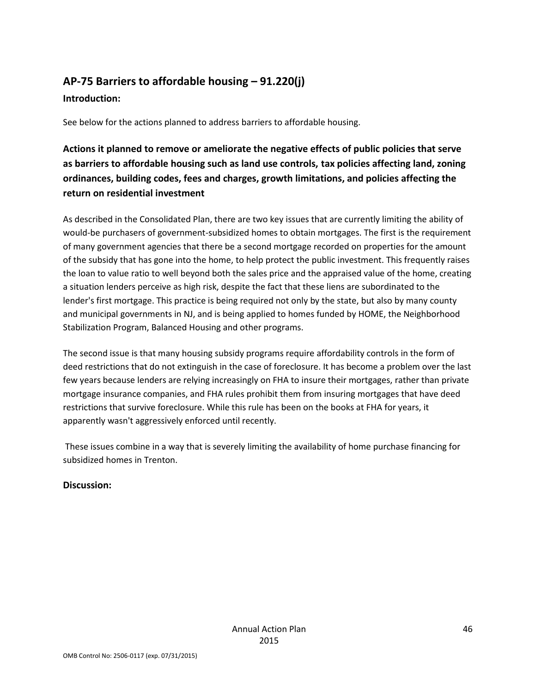# **AP-75 Barriers to affordable housing – 91.220(j) Introduction:**

See below for the actions planned to address barriers to affordable housing.

**Actions it planned to remove or ameliorate the negative effects of public policies that serve as barriers to affordable housing such as land use controls, tax policies affecting land, zoning ordinances, building codes, fees and charges, growth limitations, and policies affecting the return on residential investment**

As described in the Consolidated Plan, there are two key issues that are currently limiting the ability of would-be purchasers of government-subsidized homes to obtain mortgages. The first is the requirement of many government agencies that there be a second mortgage recorded on properties for the amount of the subsidy that has gone into the home, to help protect the public investment. This frequently raises the loan to value ratio to well beyond both the sales price and the appraised value of the home, creating a situation lenders perceive as high risk, despite the fact that these liens are subordinated to the lender's first mortgage. This practice is being required not only by the state, but also by many county and municipal governments in NJ, and is being applied to homes funded by HOME, the Neighborhood Stabilization Program, Balanced Housing and other programs.

The second issue is that many housing subsidy programs require affordability controls in the form of deed restrictions that do not extinguish in the case of foreclosure. It has become a problem over the last few years because lenders are relying increasingly on FHA to insure their mortgages, rather than private mortgage insurance companies, and FHA rules prohibit them from insuring mortgages that have deed restrictions that survive foreclosure. While this rule has been on the books at FHA for years, it apparently wasn't aggressively enforced until recently.

These issues combine in a way that is severely limiting the availability of home purchase financing for subsidized homes in Trenton.

### **Discussion:**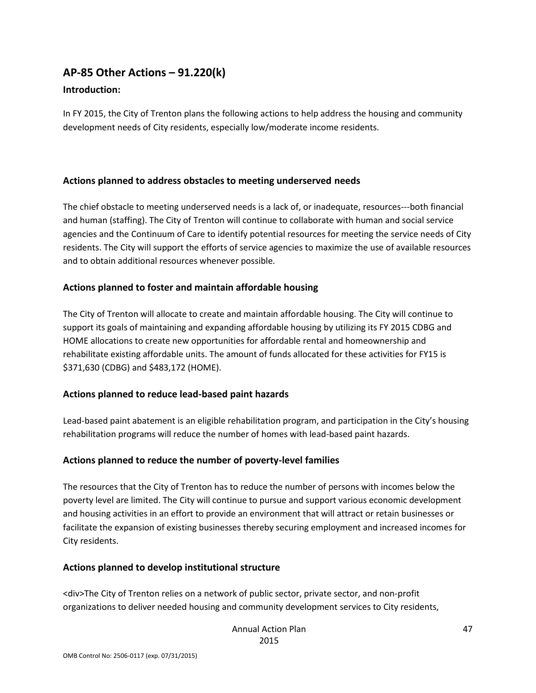# **AP-85 Other Actions – 91.220(k)**

### **Introduction:**

In FY 2015, the City of Trenton plans the following actions to help address the housing and community development needs of City residents, especially low/moderate income residents.

### **Actions planned to address obstacles to meeting underserved needs**

The chief obstacle to meeting underserved needs is a lack of, or inadequate, resources---both financial and human (staffing). The City of Trenton will continue to collaborate with human and social service agencies and the Continuum of Care to identify potential resources for meeting the service needs of City residents. The City will support the efforts of service agencies to maximize the use of available resources and to obtain additional resources whenever possible.

### **Actions planned to foster and maintain affordable housing**

The City of Trenton will allocate to create and maintain affordable housing. The City will continue to support its goals of maintaining and expanding affordable housing by utilizing its FY 2015 CDBG and HOME allocations to create new opportunities for affordable rental and homeownership and rehabilitate existing affordable units. The amount of funds allocated for these activities for FY15 is \$371,630 (CDBG) and \$483,172 (HOME).

### **Actions planned to reduce lead-based paint hazards**

Lead-based paint abatement is an eligible rehabilitation program, and participation in the City's housing rehabilitation programs will reduce the number of homes with lead-based paint hazards.

### **Actions planned to reduce the number of poverty-level families**

The resources that the City of Trenton has to reduce the number of persons with incomes below the poverty level are limited. The City will continue to pursue and support various economic development and housing activities in an effort to provide an environment that will attract or retain businesses or facilitate the expansion of existing businesses thereby securing employment and increased incomes for City residents.

#### **Actions planned to develop institutional structure**

<div>The City of Trenton relies on a network of public sector, private sector, and non-profit organizations to deliver needed housing and community development services to City residents,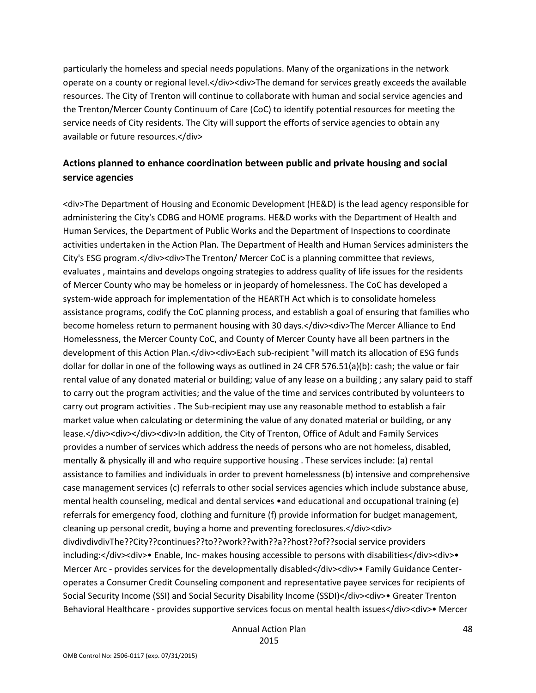particularly the homeless and special needs populations. Many of the organizations in the network operate on a county or regional level.</div><div>The demand for services greatly exceeds the available resources. The City of Trenton will continue to collaborate with human and social service agencies and the Trenton/Mercer County Continuum of Care (CoC) to identify potential resources for meeting the service needs of City residents. The City will support the efforts of service agencies to obtain any available or future resources.</div>

### **Actions planned to enhance coordination between public and private housing and social service agencies**

<div>The Department of Housing and Economic Development (HE&D) is the lead agency responsible for administering the City's CDBG and HOME programs. HE&D works with the Department of Health and Human Services, the Department of Public Works and the Department of Inspections to coordinate activities undertaken in the Action Plan. The Department of Health and Human Services administers the City's ESG program.</div><div>The Trenton/ Mercer CoC is a planning committee that reviews, evaluates , maintains and develops ongoing strategies to address quality of life issues for the residents of Mercer County who may be homeless or in jeopardy of homelessness. The CoC has developed a system-wide approach for implementation of the HEARTH Act which is to consolidate homeless assistance programs, codify the CoC planning process, and establish a goal of ensuring that families who become homeless return to permanent housing with 30 days.</div><div>The Mercer Alliance to End Homelessness, the Mercer County CoC, and County of Mercer County have all been partners in the development of this Action Plan.</div><div>Each sub-recipient "will match its allocation of ESG funds dollar for dollar in one of the following ways as outlined in 24 CFR 576.51(a)(b): cash; the value or fair rental value of any donated material or building; value of any lease on a building ; any salary paid to staff to carry out the program activities; and the value of the time and services contributed by volunteers to carry out program activities . The Sub-recipient may use any reasonable method to establish a fair market value when calculating or determining the value of any donated material or building, or any lease.</div><div></div><div>ln addition, the City of Trenton, Office of Adult and Family Services provides a number of services which address the needs of persons who are not homeless, disabled, mentally & physically ill and who require supportive housing . These services include: (a) rental assistance to families and individuals in order to prevent homelessness (b) intensive and comprehensive case management services (c) referrals to other social services agencies which include substance abuse, mental health counseling, medical and dental services •and educational and occupational training (e) referrals for emergency food, clothing and furniture (f) provide information for budget management, cleaning up personal credit, buying a home and preventing foreclosures.</div><div> divdivdivdivThe??City??continues??to??work??with??a??host??of??social service providers including:</div><div>> Enable, Inc- makes housing accessible to persons with disabilities</div><div> Mercer Arc - provides services for the developmentally disabled</div><div>• Family Guidance Centeroperates a Consumer Credit Counseling component and representative payee services for recipients of Social Security Income (SSI) and Social Security Disability Income (SSDI)</div><div>• Greater Trenton Behavioral Healthcare - provides supportive services focus on mental health issues</div><div>• Mercer

> Annual Action Plan 2015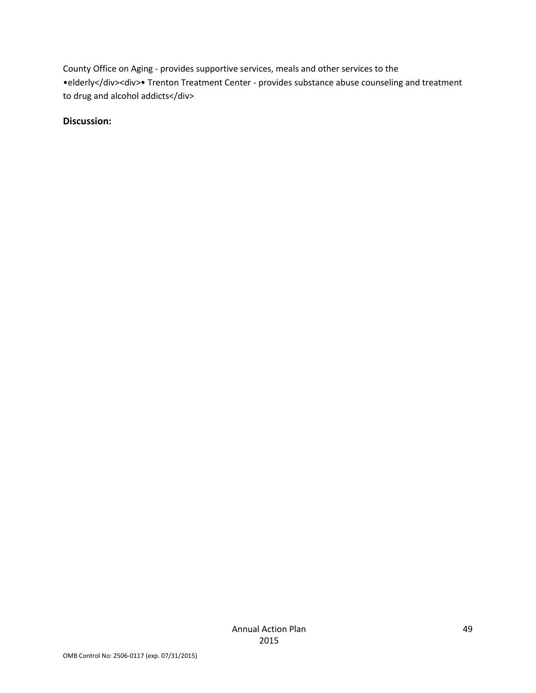County Office on Aging - provides supportive services, meals and other services to the •elderly</div><div>• Trenton Treatment Center - provides substance abuse counseling and treatment to drug and alcohol addicts</div>

### **Discussion:**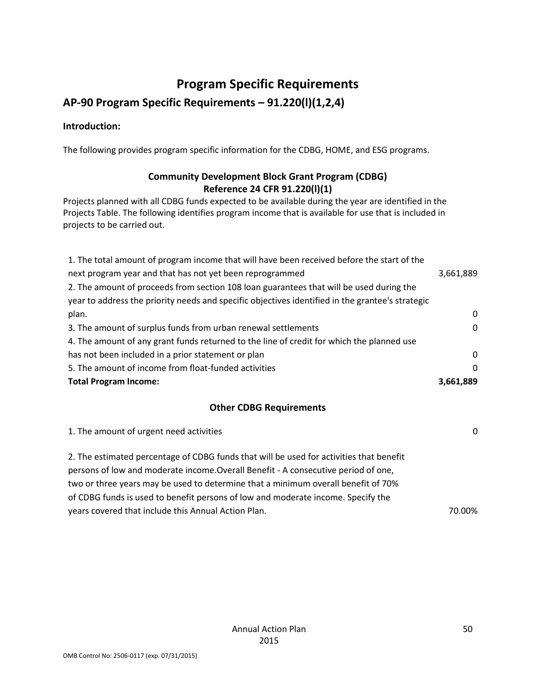# **Program Specific Requirements**

# **AP-90 Program Specific Requirements – 91.220(l)(1,2,4)**

### **Introduction:**

The following provides program specific information for the CDBG, HOME, and ESG programs.

### **Community Development Block Grant Program (CDBG) Reference 24 CFR 91.220(l)(1)**

Projects planned with all CDBG funds expected to be available during the year are identified in the Projects Table. The following identifies program income that is available for use that is included in projects to be carried out.

| <b>Total Program Income:</b>                                                                     | 3,661,889 |
|--------------------------------------------------------------------------------------------------|-----------|
| 5. The amount of income from float-funded activities                                             | $\Omega$  |
| has not been included in a prior statement or plan                                               | $\Omega$  |
| 4. The amount of any grant funds returned to the line of credit for which the planned use        |           |
| 3. The amount of surplus funds from urban renewal settlements                                    | $\Omega$  |
| plan.                                                                                            | $\Omega$  |
| year to address the priority needs and specific objectives identified in the grantee's strategic |           |
| 2. The amount of proceeds from section 108 loan guarantees that will be used during the          |           |
| next program year and that has not yet been reprogrammed                                         | 3,661,889 |
| 1. The total amount of program income that will have been received before the start of the       |           |

### **Other CDBG Requirements**

| 1. The amount of urgent need activities                                                                                                                                                                                                                                                                                                                | $\Omega$ |
|--------------------------------------------------------------------------------------------------------------------------------------------------------------------------------------------------------------------------------------------------------------------------------------------------------------------------------------------------------|----------|
| 2. The estimated percentage of CDBG funds that will be used for activities that benefit<br>persons of low and moderate income. Overall Benefit - A consecutive period of one,<br>two or three years may be used to determine that a minimum overall benefit of 70%<br>of CDBG funds is used to benefit persons of low and moderate income. Specify the |          |
| years covered that include this Annual Action Plan.                                                                                                                                                                                                                                                                                                    | 70.00%   |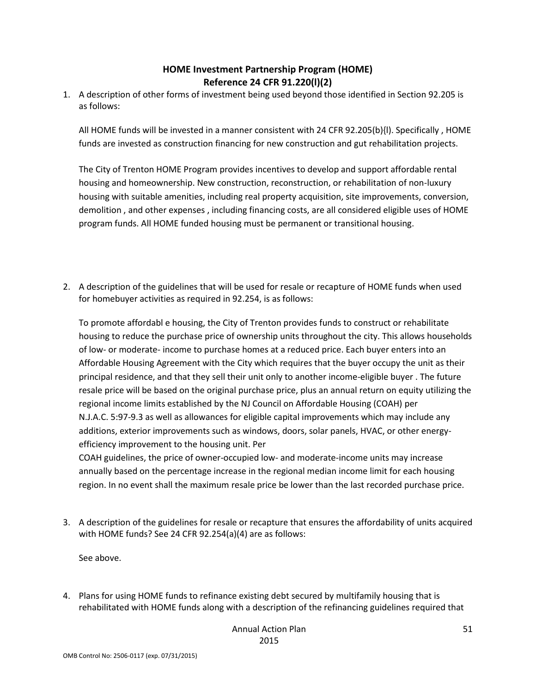### **HOME Investment Partnership Program (HOME) Reference 24 CFR 91.220(l)(2)**

1. A description of other forms of investment being used beyond those identified in Section 92.205 is as follows:

All HOME funds will be invested in a manner consistent with 24 CFR 92.205(b){l). Specifically , HOME funds are invested as construction financing for new construction and gut rehabilitation projects.

The City of Trenton HOME Program provides incentives to develop and support affordable rental housing and homeownership. New construction, reconstruction, or rehabilitation of non-luxury housing with suitable amenities, including real property acquisition, site improvements, conversion, demolition , and other expenses , including financing costs, are all considered eligible uses of HOME program funds. All HOME funded housing must be permanent or transitional housing.

2. A description of the guidelines that will be used for resale or recapture of HOME funds when used for homebuyer activities as required in 92.254, is as follows:

To promote affordabl e housing, the City of Trenton provides funds to construct or rehabilitate housing to reduce the purchase price of ownership units throughout the city. This allows households of low- or moderate- income to purchase homes at a reduced price. Each buyer enters into an Affordable Housing Agreement with the City which requires that the buyer occupy the unit as their principal residence, and that they sell their unit only to another income-eligible buyer . The future resale price will be based on the original purchase price, plus an annual return on equity utilizing the regional income limits established by the NJ Council on Affordable Housing (COAH) per N.J.A.C. 5:97-9.3 as well as allowances for eligible capital improvements which may include any additions, exterior improvements such as windows, doors, solar panels, HVAC, or other energyefficiency improvement to the housing unit. Per

COAH guidelines, the price of owner-occupied low- and moderate-income units may increase annually based on the percentage increase in the regional median income limit for each housing region. In no event shall the maximum resale price be lower than the last recorded purchase price.

3. A description of the guidelines for resale or recapture that ensures the affordability of units acquired with HOME funds? See 24 CFR 92.254(a)(4) are as follows:

See above.

4. Plans for using HOME funds to refinance existing debt secured by multifamily housing that is rehabilitated with HOME funds along with a description of the refinancing guidelines required that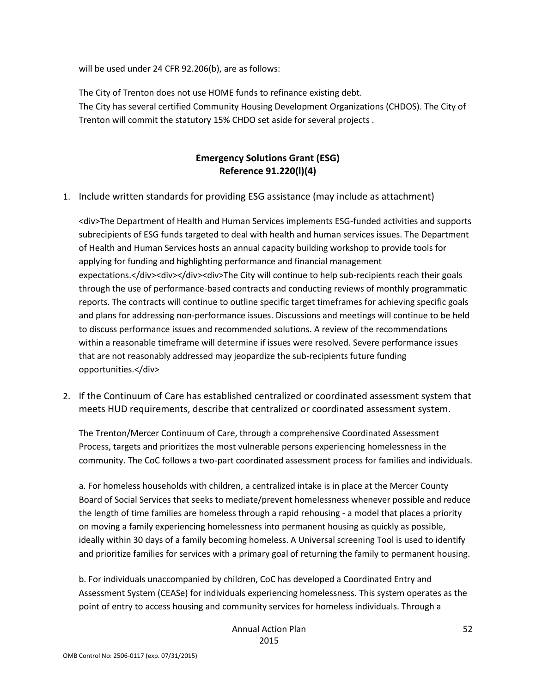will be used under 24 CFR 92.206(b), are as follows:

The City of Trenton does not use HOME funds to refinance existing debt. The City has several certified Community Housing Development Organizations (CHDOS). The City of Trenton will commit the statutory 15% CHDO set aside for several projects .

### **Emergency Solutions Grant (ESG) Reference 91.220(l)(4)**

1. Include written standards for providing ESG assistance (may include as attachment)

<div>The Department of Health and Human Services implements ESG-funded activities and supports subrecipients of ESG funds targeted to deal with health and human services issues. The Department of Health and Human Services hosts an annual capacity building workshop to provide tools for applying for funding and highlighting performance and financial management expectations.</div><div></div><div>The City will continue to help sub-recipients reach their goals through the use of performance-based contracts and conducting reviews of monthly programmatic reports. The contracts will continue to outline specific target timeframes for achieving specific goals and plans for addressing non-performance issues. Discussions and meetings will continue to be held to discuss performance issues and recommended solutions. A review of the recommendations within a reasonable timeframe will determine if issues were resolved. Severe performance issues that are not reasonably addressed may jeopardize the sub-recipients future funding opportunities.</div>

2. If the Continuum of Care has established centralized or coordinated assessment system that meets HUD requirements, describe that centralized or coordinated assessment system.

The Trenton/Mercer Continuum of Care, through a comprehensive Coordinated Assessment Process, targets and prioritizes the most vulnerable persons experiencing homelessness in the community. The CoC follows a two-part coordinated assessment process for families and individuals.

a. For homeless households with children, a centralized intake is in place at the Mercer County Board of Social Services that seeks to mediate/prevent homelessness whenever possible and reduce the length of time families are homeless through a rapid rehousing - a model that places a priority on moving a family experiencing homelessness into permanent housing as quickly as possible, ideally within 30 days of a family becoming homeless. A Universal screening Tool is used to identify and prioritize families for services with a primary goal of returning the family to permanent housing.

b. For individuals unaccompanied by children, CoC has developed a Coordinated Entry and Assessment System (CEASe) for individuals experiencing homelessness. This system operates as the point of entry to access housing and community services for homeless individuals. Through a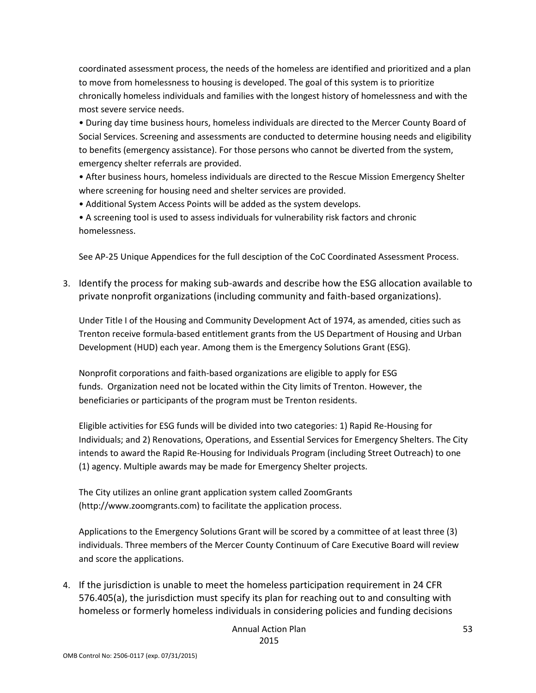coordinated assessment process, the needs of the homeless are identified and prioritized and a plan to move from homelessness to housing is developed. The goal of this system is to prioritize chronically homeless individuals and families with the longest history of homelessness and with the most severe service needs.

• During day time business hours, homeless individuals are directed to the Mercer County Board of Social Services. Screening and assessments are conducted to determine housing needs and eligibility to benefits (emergency assistance). For those persons who cannot be diverted from the system, emergency shelter referrals are provided.

• After business hours, homeless individuals are directed to the Rescue Mission Emergency Shelter where screening for housing need and shelter services are provided.

• Additional System Access Points will be added as the system develops.

• A screening tool is used to assess individuals for vulnerability risk factors and chronic homelessness.

See AP-25 Unique Appendices for the full desciption of the CoC Coordinated Assessment Process.

3. Identify the process for making sub-awards and describe how the ESG allocation available to private nonprofit organizations (including community and faith-based organizations).

Under Title I of the Housing and Community Development Act of 1974, as amended, cities such as Trenton receive formula-based entitlement grants from the US Department of Housing and Urban Development (HUD) each year. Among them is the Emergency Solutions Grant (ESG).

Nonprofit corporations and faith-based organizations are eligible to apply for ESG funds. Organization need not be located within the City limits of Trenton. However, the beneficiaries or participants of the program must be Trenton residents.

Eligible activities for ESG funds will be divided into two categories: 1) Rapid Re-Housing for Individuals; and 2) Renovations, Operations, and Essential Services for Emergency Shelters. The City intends to award the Rapid Re-Housing for Individuals Program (including Street Outreach) to one (1) agency. Multiple awards may be made for Emergency Shelter projects.

The City utilizes an online grant application system called ZoomGrants (http://www.zoomgrants.com) to facilitate the application process.

Applications to the Emergency Solutions Grant will be scored by a committee of at least three (3) individuals. Three members of the Mercer County Continuum of Care Executive Board will review and score the applications.

4. If the jurisdiction is unable to meet the homeless participation requirement in 24 CFR 576.405(a), the jurisdiction must specify its plan for reaching out to and consulting with homeless or formerly homeless individuals in considering policies and funding decisions